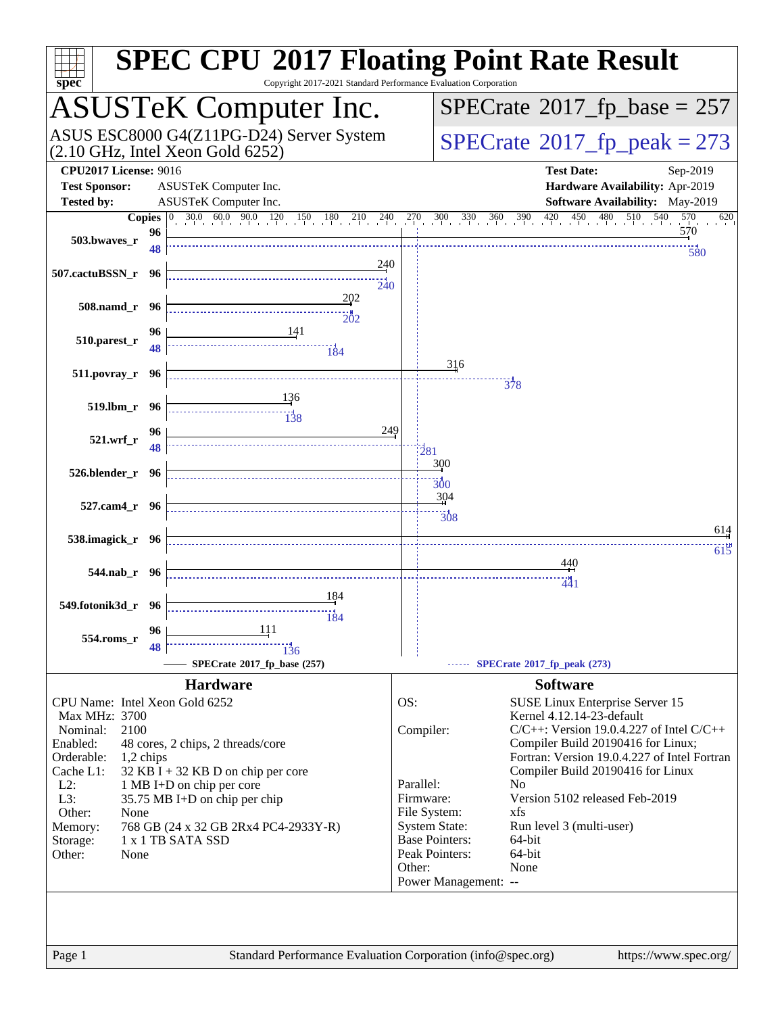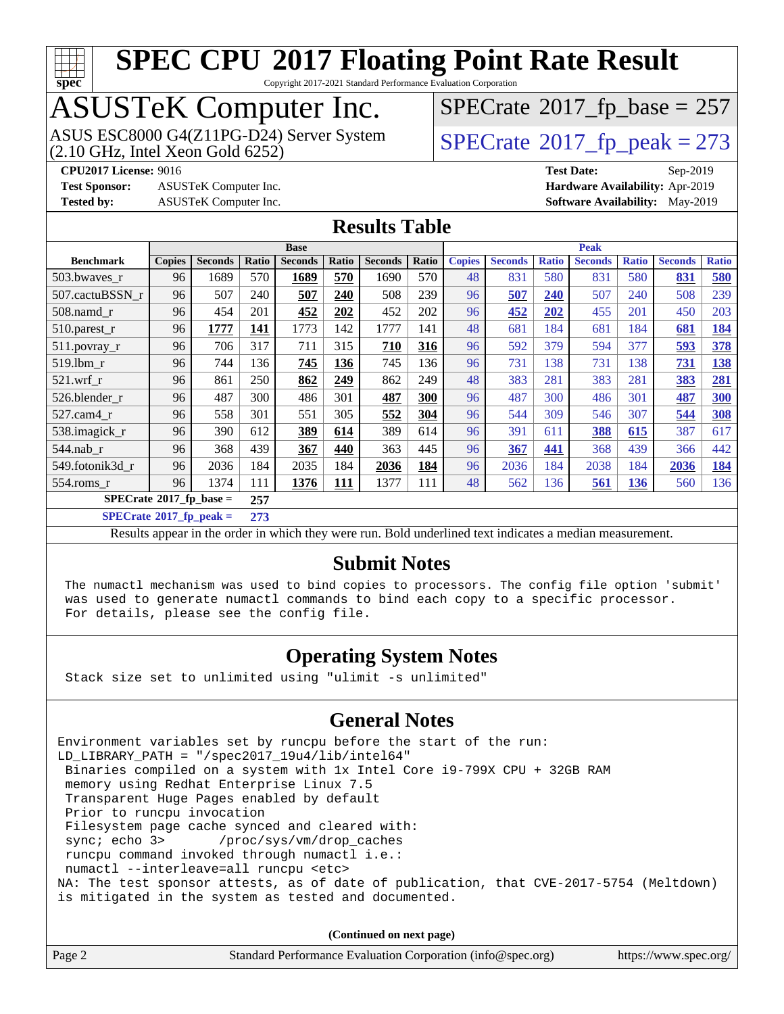

Copyright 2017-2021 Standard Performance Evaluation Corporation

# ASUSTeK Computer Inc.<br>ASUS ESC8000 G4(Z11PG-D24) Server System

 $(2.10$  GHz, Intel Xeon Gold  $6252)$ 

 $SPECTate$ <sup>®</sup>[2017\\_fp\\_base =](http://www.spec.org/auto/cpu2017/Docs/result-fields.html#SPECrate2017fpbase) 257

**[Test Sponsor:](http://www.spec.org/auto/cpu2017/Docs/result-fields.html#TestSponsor)** ASUSTeK Computer Inc. **[Hardware Availability:](http://www.spec.org/auto/cpu2017/Docs/result-fields.html#HardwareAvailability)** Apr-2019

 $SPECTate<sup>®</sup>2017_fp_peak = 273$  $SPECTate<sup>®</sup>2017_fp_peak = 273$  $SPECTate<sup>®</sup>2017_fp_peak = 273$ 

**[CPU2017 License:](http://www.spec.org/auto/cpu2017/Docs/result-fields.html#CPU2017License)** 9016 **[Test Date:](http://www.spec.org/auto/cpu2017/Docs/result-fields.html#TestDate)** Sep-2019 **[Tested by:](http://www.spec.org/auto/cpu2017/Docs/result-fields.html#Testedby)** ASUSTeK Computer Inc. **[Software Availability:](http://www.spec.org/auto/cpu2017/Docs/result-fields.html#SoftwareAvailability)** May-2019

#### **[Results Table](http://www.spec.org/auto/cpu2017/Docs/result-fields.html#ResultsTable)**

|                                         | <b>Base</b>   |                |       |                |            |                | <b>Peak</b> |               |                |              |                |              |                |              |
|-----------------------------------------|---------------|----------------|-------|----------------|------------|----------------|-------------|---------------|----------------|--------------|----------------|--------------|----------------|--------------|
| <b>Benchmark</b>                        | <b>Copies</b> | <b>Seconds</b> | Ratio | <b>Seconds</b> | Ratio      | <b>Seconds</b> | Ratio       | <b>Copies</b> | <b>Seconds</b> | <b>Ratio</b> | <b>Seconds</b> | <b>Ratio</b> | <b>Seconds</b> | <b>Ratio</b> |
| 503.bwaves_r                            | 96            | 1689           | 570   | 1689           | 570        | 1690           | 570         | 48            | 831            | 580          | 831            | 580          | 831            | 580          |
| 507.cactuBSSN r                         | 96            | 507            | 240   | 507            | 240        | 508            | 239         | 96            | 507            | 240          | 507            | 240          | 508            | 239          |
| $508$ .namd $r$                         | 96            | 454            | 201   | 452            | 202        | 452            | 202         | 96            | 452            | 202          | 455            | 201          | 450            | 203          |
| 510.parest_r                            | 96            | 1777           | 141   | 1773           | 142        | 1777           | 141         | 48            | 681            | 184          | 681            | 184          | 681            | 184          |
| 511.povray_r                            | 96            | 706            | 317   | 711            | 315        | 710            | 316         | 96            | 592            | 379          | 594            | 377          | 593            | 378          |
| 519.1bm r                               | 96            | 744            | 136   | 745            | 136        | 745            | 136         | 96            | 731            | 138          | 731            | 138          | 731            | 138          |
| $521.wrf_r$                             | 96            | 861            | 250   | 862            | 249        | 862            | 249         | 48            | 383            | 281          | 383            | 281          | 383            | 281          |
| 526.blender_r                           | 96            | 487            | 300   | 486            | 301        | 487            | 300         | 96            | 487            | 300          | 486            | 301          | 487            | 300          |
| 527.cam4_r                              | 96            | 558            | 301   | 551            | 305        | 552            | 304         | 96            | 544            | 309          | 546            | 307          | 544            | 308          |
| 538.imagick_r                           | 96            | 390            | 612   | 389            | 614        | 389            | 614         | 96            | 391            | 611          | 388            | 615          | 387            | 617          |
| 544.nab r                               | 96            | 368            | 439   | 367            | 440        | 363            | 445         | 96            | 367            | 441          | 368            | 439          | 366            | 442          |
| 549.fotonik3d r                         | 96            | 2036           | 184   | 2035           | 184        | 2036           | 184         | 96            | 2036           | 184          | 2038           | 184          | 2036           | 184          |
| 554.roms r                              | 96            | 1374           | 111   | 1376           | <b>111</b> | 1377           | 111         | 48            | 562            | 136          | <u>561</u>     | <u>136</u>   | 560            | 136          |
| $SPECrate^{\circ}2017$ fp base =<br>257 |               |                |       |                |            |                |             |               |                |              |                |              |                |              |

**[SPECrate](http://www.spec.org/auto/cpu2017/Docs/result-fields.html#SPECrate2017fppeak)[2017\\_fp\\_peak =](http://www.spec.org/auto/cpu2017/Docs/result-fields.html#SPECrate2017fppeak) 273**

Results appear in the [order in which they were run](http://www.spec.org/auto/cpu2017/Docs/result-fields.html#RunOrder). Bold underlined text [indicates a median measurement](http://www.spec.org/auto/cpu2017/Docs/result-fields.html#Median).

#### **[Submit Notes](http://www.spec.org/auto/cpu2017/Docs/result-fields.html#SubmitNotes)**

 The numactl mechanism was used to bind copies to processors. The config file option 'submit' was used to generate numactl commands to bind each copy to a specific processor. For details, please see the config file.

#### **[Operating System Notes](http://www.spec.org/auto/cpu2017/Docs/result-fields.html#OperatingSystemNotes)**

Stack size set to unlimited using "ulimit -s unlimited"

#### **[General Notes](http://www.spec.org/auto/cpu2017/Docs/result-fields.html#GeneralNotes)**

Environment variables set by runcpu before the start of the run: LD\_LIBRARY\_PATH = "/spec2017\_19u4/lib/intel64" Binaries compiled on a system with 1x Intel Core i9-799X CPU + 32GB RAM memory using Redhat Enterprise Linux 7.5 Transparent Huge Pages enabled by default Prior to runcpu invocation Filesystem page cache synced and cleared with: sync; echo 3> /proc/sys/vm/drop\_caches runcpu command invoked through numactl i.e.: numactl --interleave=all runcpu <etc> NA: The test sponsor attests, as of date of publication, that CVE-2017-5754 (Meltdown) is mitigated in the system as tested and documented.

**(Continued on next page)**

|  | Page 2 | Standard Performance Evaluation Corporation (info@spec.org) | https://www.spec.org/ |
|--|--------|-------------------------------------------------------------|-----------------------|
|--|--------|-------------------------------------------------------------|-----------------------|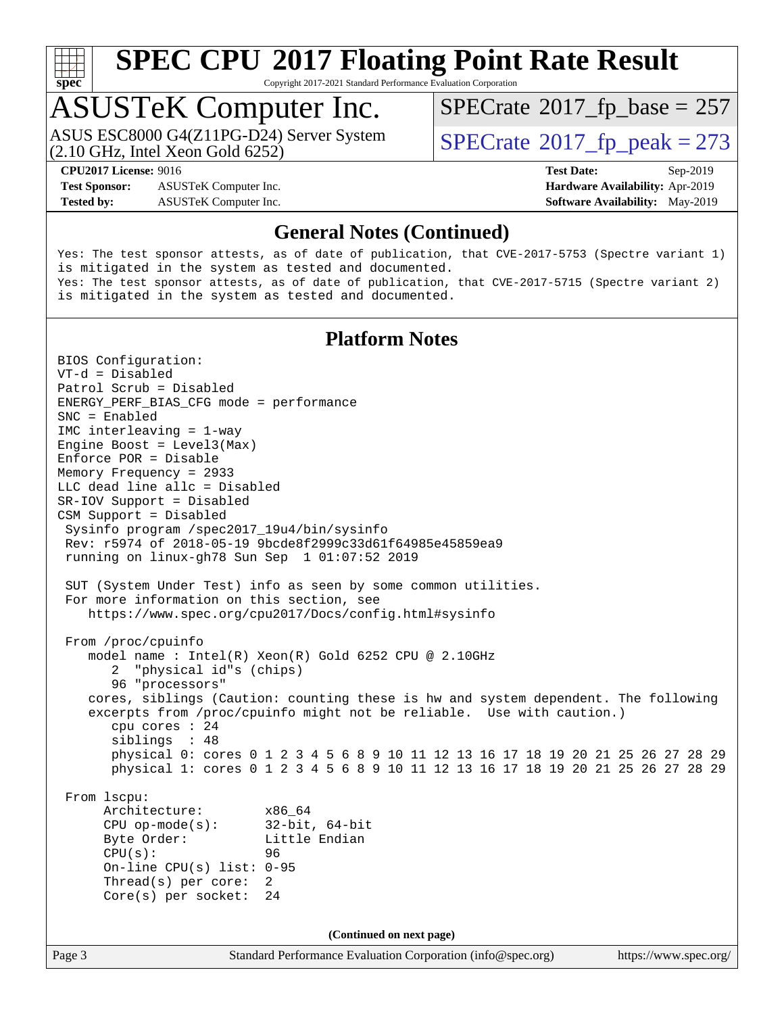

Copyright 2017-2021 Standard Performance Evaluation Corporation

## ASUSTeK Computer Inc.

(2.10 GHz, Intel Xeon Gold 6252) ASUS ESC8000 G4(Z11PG-D24) Server System  $\sqrt{\text{SPECrate}^{\otimes}2017\_fp\_peak} = 273$  $\sqrt{\text{SPECrate}^{\otimes}2017\_fp\_peak} = 273$  $\sqrt{\text{SPECrate}^{\otimes}2017\_fp\_peak} = 273$ 

 $SPECTate$ <sup>®</sup>[2017\\_fp\\_base =](http://www.spec.org/auto/cpu2017/Docs/result-fields.html#SPECrate2017fpbase) 257

**[Test Sponsor:](http://www.spec.org/auto/cpu2017/Docs/result-fields.html#TestSponsor)** ASUSTeK Computer Inc. **[Hardware Availability:](http://www.spec.org/auto/cpu2017/Docs/result-fields.html#HardwareAvailability)** Apr-2019 **[Tested by:](http://www.spec.org/auto/cpu2017/Docs/result-fields.html#Testedby)** ASUSTeK Computer Inc. **[Software Availability:](http://www.spec.org/auto/cpu2017/Docs/result-fields.html#SoftwareAvailability)** May-2019

**[CPU2017 License:](http://www.spec.org/auto/cpu2017/Docs/result-fields.html#CPU2017License)** 9016 **[Test Date:](http://www.spec.org/auto/cpu2017/Docs/result-fields.html#TestDate)** Sep-2019

#### **[General Notes \(Continued\)](http://www.spec.org/auto/cpu2017/Docs/result-fields.html#GeneralNotes)**

Yes: The test sponsor attests, as of date of publication, that CVE-2017-5753 (Spectre variant 1) is mitigated in the system as tested and documented. Yes: The test sponsor attests, as of date of publication, that CVE-2017-5715 (Spectre variant 2) is mitigated in the system as tested and documented.

#### **[Platform Notes](http://www.spec.org/auto/cpu2017/Docs/result-fields.html#PlatformNotes)**

Page 3 Standard Performance Evaluation Corporation [\(info@spec.org\)](mailto:info@spec.org) <https://www.spec.org/> BIOS Configuration: VT-d = Disabled Patrol Scrub = Disabled ENERGY\_PERF\_BIAS\_CFG mode = performance SNC = Enabled IMC interleaving = 1-way Engine Boost = Level3(Max) Enforce POR = Disable Memory Frequency = 2933 LLC dead line allc = Disabled SR-IOV Support = Disabled CSM Support = Disabled Sysinfo program /spec2017\_19u4/bin/sysinfo Rev: r5974 of 2018-05-19 9bcde8f2999c33d61f64985e45859ea9 running on linux-gh78 Sun Sep 1 01:07:52 2019 SUT (System Under Test) info as seen by some common utilities. For more information on this section, see <https://www.spec.org/cpu2017/Docs/config.html#sysinfo> From /proc/cpuinfo model name : Intel(R) Xeon(R) Gold 6252 CPU @ 2.10GHz 2 "physical id"s (chips) 96 "processors" cores, siblings (Caution: counting these is hw and system dependent. The following excerpts from /proc/cpuinfo might not be reliable. Use with caution.) cpu cores : 24 siblings : 48 physical 0: cores 0 1 2 3 4 5 6 8 9 10 11 12 13 16 17 18 19 20 21 25 26 27 28 29 physical 1: cores 0 1 2 3 4 5 6 8 9 10 11 12 13 16 17 18 19 20 21 25 26 27 28 29 From lscpu: Architecture: x86\_64 CPU op-mode(s): 32-bit, 64-bit Byte Order: Little Endian CPU(s): 96 On-line CPU(s) list: 0-95 Thread(s) per core: 2 Core(s) per socket: 24 **(Continued on next page)**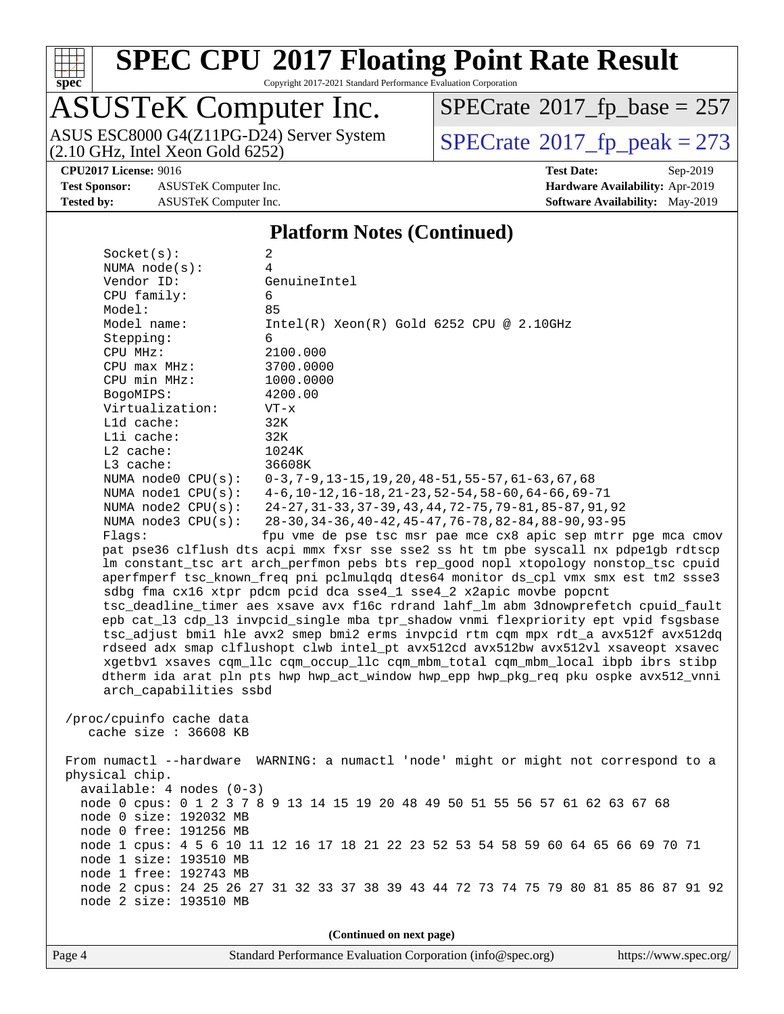

Copyright 2017-2021 Standard Performance Evaluation Corporation

# ASUSTeK Computer Inc.<br>ASUS ESC8000 G4(Z11PG-D24) Server System

(2.10 GHz, Intel Xeon Gold 6252)

 $SPECrate$ <sup>®</sup>[2017\\_fp\\_base =](http://www.spec.org/auto/cpu2017/Docs/result-fields.html#SPECrate2017fpbase) 257

**[Test Sponsor:](http://www.spec.org/auto/cpu2017/Docs/result-fields.html#TestSponsor)** ASUSTeK Computer Inc. **[Hardware Availability:](http://www.spec.org/auto/cpu2017/Docs/result-fields.html#HardwareAvailability)** Apr-2019 **[Tested by:](http://www.spec.org/auto/cpu2017/Docs/result-fields.html#Testedby)** ASUSTeK Computer Inc. **[Software Availability:](http://www.spec.org/auto/cpu2017/Docs/result-fields.html#SoftwareAvailability)** May-2019

 $SPECTate@2017_fp\_peak = 273$ 

**[CPU2017 License:](http://www.spec.org/auto/cpu2017/Docs/result-fields.html#CPU2017License)** 9016 **[Test Date:](http://www.spec.org/auto/cpu2017/Docs/result-fields.html#TestDate)** Sep-2019

#### **[Platform Notes \(Continued\)](http://www.spec.org/auto/cpu2017/Docs/result-fields.html#PlatformNotes)**

| Socket(s):                                       | 2                                                                                                                  |  |  |  |  |  |
|--------------------------------------------------|--------------------------------------------------------------------------------------------------------------------|--|--|--|--|--|
| NUMA $node(s):$                                  | 4                                                                                                                  |  |  |  |  |  |
| Vendor ID:                                       | GenuineIntel                                                                                                       |  |  |  |  |  |
| CPU family:                                      | 6                                                                                                                  |  |  |  |  |  |
| Model:                                           | 85                                                                                                                 |  |  |  |  |  |
| Model name:                                      | $Intel(R) Xeon(R) Gold 6252 CPU @ 2.10GHz$                                                                         |  |  |  |  |  |
| Stepping:                                        | 6                                                                                                                  |  |  |  |  |  |
| CPU MHz:                                         | 2100.000                                                                                                           |  |  |  |  |  |
| $CPU$ max $MHz$ :                                | 3700.0000                                                                                                          |  |  |  |  |  |
| CPU min MHz:                                     | 1000.0000                                                                                                          |  |  |  |  |  |
| BogoMIPS:                                        | 4200.00                                                                                                            |  |  |  |  |  |
| Virtualization:                                  | $VT - x$                                                                                                           |  |  |  |  |  |
| L1d cache:                                       | 32K                                                                                                                |  |  |  |  |  |
| Lli cache:                                       | 32K                                                                                                                |  |  |  |  |  |
| $L2$ cache:                                      | 1024K                                                                                                              |  |  |  |  |  |
| L3 cache:                                        | 36608K                                                                                                             |  |  |  |  |  |
| NUMA $node0$ $CPU(s):$                           | $0-3, 7-9, 13-15, 19, 20, 48-51, 55-57, 61-63, 67, 68$                                                             |  |  |  |  |  |
| NUMA nodel CPU(s):                               | $4-6$ , 10-12, 16-18, 21-23, 52-54, 58-60, 64-66, 69-71                                                            |  |  |  |  |  |
| NUMA $node2$ $CPU(s):$<br>NUMA $node3$ $CPU(s):$ | 24-27, 31-33, 37-39, 43, 44, 72-75, 79-81, 85-87, 91, 92<br>28-30, 34-36, 40-42, 45-47, 76-78, 82-84, 88-90, 93-95 |  |  |  |  |  |
| Flaqs:                                           | fpu vme de pse tsc msr pae mce cx8 apic sep mtrr pge mca cmov                                                      |  |  |  |  |  |
|                                                  | pat pse36 clflush dts acpi mmx fxsr sse sse2 ss ht tm pbe syscall nx pdpe1gb rdtscp                                |  |  |  |  |  |
|                                                  | lm constant_tsc art arch_perfmon pebs bts rep_good nopl xtopology nonstop_tsc cpuid                                |  |  |  |  |  |
|                                                  | aperfmperf tsc_known_freq pni pclmulqdq dtes64 monitor ds_cpl vmx smx est tm2 ssse3                                |  |  |  |  |  |
|                                                  | sdbg fma cx16 xtpr pdcm pcid dca sse4_1 sse4_2 x2apic movbe popcnt                                                 |  |  |  |  |  |
|                                                  | tsc_deadline_timer aes xsave avx f16c rdrand lahf_lm abm 3dnowprefetch cpuid_fault                                 |  |  |  |  |  |
|                                                  | epb cat_13 cdp_13 invpcid_single mba tpr_shadow vnmi flexpriority ept vpid fsgsbase                                |  |  |  |  |  |
|                                                  | tsc_adjust bmil hle avx2 smep bmi2 erms invpcid rtm cqm mpx rdt_a avx512f avx512dq                                 |  |  |  |  |  |
|                                                  | rdseed adx smap clflushopt clwb intel_pt avx512cd avx512bw avx512vl xsaveopt xsavec                                |  |  |  |  |  |
|                                                  | xgetbvl xsaves cqm_llc cqm_occup_llc cqm_mbm_total cqm_mbm_local ibpb ibrs stibp                                   |  |  |  |  |  |
|                                                  | dtherm ida arat pln pts hwp hwp_act_window hwp_epp hwp_pkg_req pku ospke avx512_vnni                               |  |  |  |  |  |
| arch_capabilities ssbd                           |                                                                                                                    |  |  |  |  |  |
|                                                  |                                                                                                                    |  |  |  |  |  |
| /proc/cpuinfo cache data                         |                                                                                                                    |  |  |  |  |  |
| cache size : 36608 KB                            |                                                                                                                    |  |  |  |  |  |
|                                                  |                                                                                                                    |  |  |  |  |  |
|                                                  | From numactl --hardware WARNING: a numactl 'node' might or might not correspond to a                               |  |  |  |  |  |
| physical chip.                                   |                                                                                                                    |  |  |  |  |  |
| $available: 4 nodes (0-3)$                       |                                                                                                                    |  |  |  |  |  |
|                                                  | node 0 cpus: 0 1 2 3 7 8 9 13 14 15 19 20 48 49 50 51 55 56 57 61 62 63 67 68                                      |  |  |  |  |  |
| node 0 size: 192032 MB                           |                                                                                                                    |  |  |  |  |  |
| node 0 free: 191256 MB                           |                                                                                                                    |  |  |  |  |  |
|                                                  | node 1 cpus: 4 5 6 10 11 12 16 17 18 21 22 23 52 53 54 58 59 60 64 65 66 69 70 71                                  |  |  |  |  |  |
| node 1 size: 193510 MB                           |                                                                                                                    |  |  |  |  |  |
| node 1 free: 192743 MB                           |                                                                                                                    |  |  |  |  |  |
|                                                  | node 2 cpus: 24 25 26 27 31 32 33 37 38 39 43 44 72 73 74 75 79 80 81 85 86 87 91 92                               |  |  |  |  |  |
| node 2 size: 193510 MB                           |                                                                                                                    |  |  |  |  |  |
|                                                  |                                                                                                                    |  |  |  |  |  |
| (Continued on next page)                         |                                                                                                                    |  |  |  |  |  |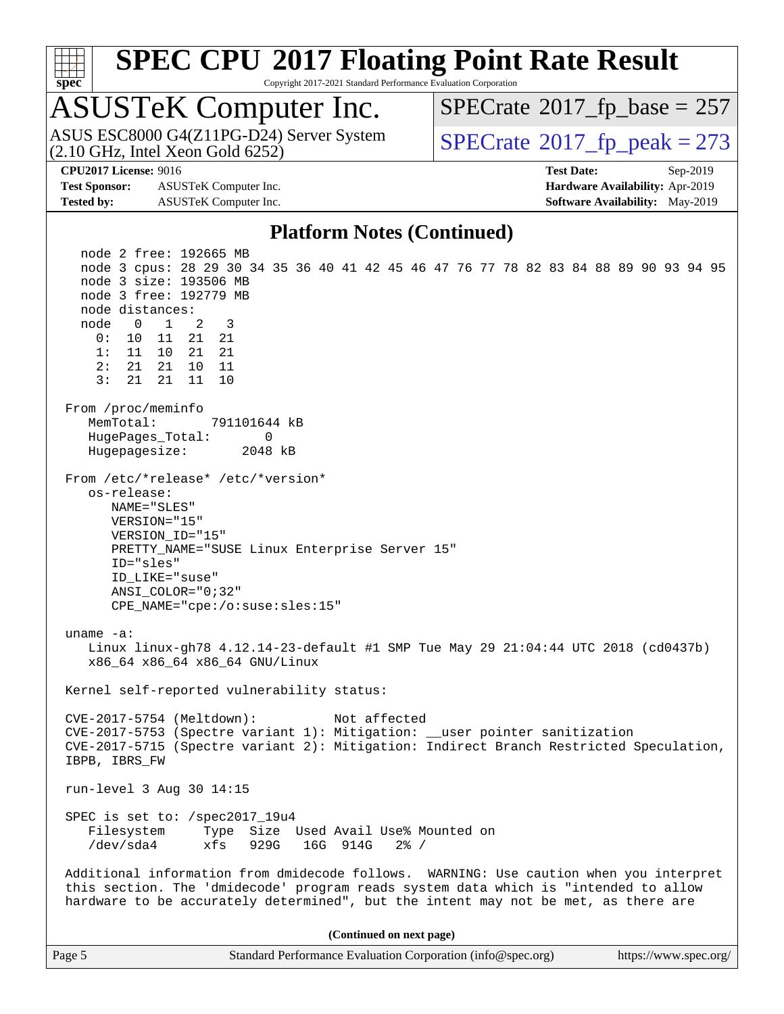

Copyright 2017-2021 Standard Performance Evaluation Corporation

# ASUSTeK Computer Inc.<br>ASUS ESC8000 G4(Z11PG-D24) Server System

(2.10 GHz, Intel Xeon Gold 6252)

 $SPECTate$ <sup>®</sup>[2017\\_fp\\_base =](http://www.spec.org/auto/cpu2017/Docs/result-fields.html#SPECrate2017fpbase) 257

**[Test Sponsor:](http://www.spec.org/auto/cpu2017/Docs/result-fields.html#TestSponsor)** ASUSTeK Computer Inc. **[Hardware Availability:](http://www.spec.org/auto/cpu2017/Docs/result-fields.html#HardwareAvailability)** Apr-2019 **[Tested by:](http://www.spec.org/auto/cpu2017/Docs/result-fields.html#Testedby)** ASUSTeK Computer Inc. **[Software Availability:](http://www.spec.org/auto/cpu2017/Docs/result-fields.html#SoftwareAvailability)** May-2019

 $SPECTate<sup>®</sup>2017_fp_peak = 273$  $SPECTate<sup>®</sup>2017_fp_peak = 273$  $SPECTate<sup>®</sup>2017_fp_peak = 273$ 

**[CPU2017 License:](http://www.spec.org/auto/cpu2017/Docs/result-fields.html#CPU2017License)** 9016 **[Test Date:](http://www.spec.org/auto/cpu2017/Docs/result-fields.html#TestDate)** Sep-2019

#### **[Platform Notes \(Continued\)](http://www.spec.org/auto/cpu2017/Docs/result-fields.html#PlatformNotes)**

 node 2 free: 192665 MB node 3 cpus: 28 29 30 34 35 36 40 41 42 45 46 47 76 77 78 82 83 84 88 89 90 93 94 95 node 3 size: 193506 MB node 3 free: 192779 MB node distances: node 0 1 2 3 0: 10 11 21 21 1: 11 10 21 21 2: 21 21 10 11 3: 21 21 11 10 From /proc/meminfo MemTotal: 791101644 kB HugePages\_Total: 0 Hugepagesize: 2048 kB From /etc/\*release\* /etc/\*version\* os-release: NAME="SLES" VERSION="15" VERSION\_ID="15" PRETTY\_NAME="SUSE Linux Enterprise Server 15" ID="sles" ID\_LIKE="suse" ANSI\_COLOR="0;32" CPE\_NAME="cpe:/o:suse:sles:15" uname -a: Linux linux-gh78 4.12.14-23-default #1 SMP Tue May 29 21:04:44 UTC 2018 (cd0437b) x86\_64 x86\_64 x86\_64 GNU/Linux Kernel self-reported vulnerability status: CVE-2017-5754 (Meltdown): Not affected CVE-2017-5753 (Spectre variant 1): Mitigation: \_\_user pointer sanitization CVE-2017-5715 (Spectre variant 2): Mitigation: Indirect Branch Restricted Speculation, IBPB, IBRS\_FW run-level 3 Aug 30 14:15 SPEC is set to: /spec2017\_19u4 Filesystem Type Size Used Avail Use% Mounted on /dev/sda4 xfs 929G 16G 914G 2% / Additional information from dmidecode follows. WARNING: Use caution when you interpret this section. The 'dmidecode' program reads system data which is "intended to allow hardware to be accurately determined", but the intent may not be met, as there are **(Continued on next page)**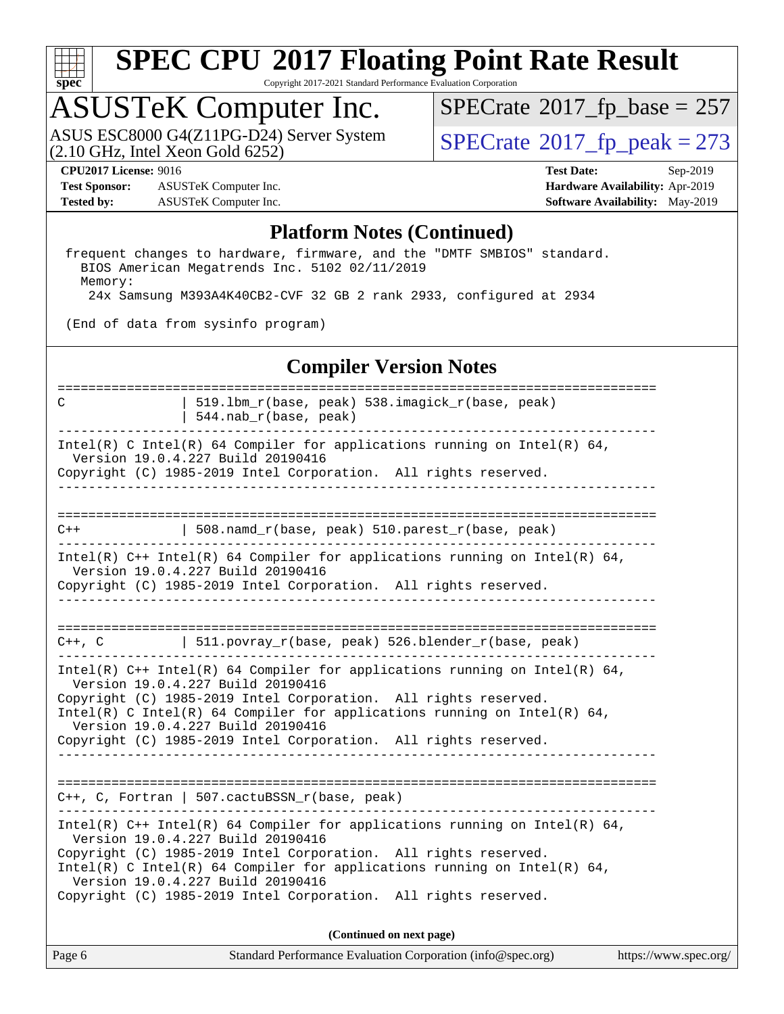

Copyright 2017-2021 Standard Performance Evaluation Corporation

## ASUSTeK Computer Inc.

(2.10 GHz, Intel Xeon Gold 6252) ASUS ESC8000 G4(Z11PG-D24) Server System  $\sqrt{\text{SPECrate}^{\otimes}2017\_fp\_peak} = 273$  $\sqrt{\text{SPECrate}^{\otimes}2017\_fp\_peak} = 273$  $\sqrt{\text{SPECrate}^{\otimes}2017\_fp\_peak} = 273$ 

 $SPECTate$ <sup>®</sup>[2017\\_fp\\_base =](http://www.spec.org/auto/cpu2017/Docs/result-fields.html#SPECrate2017fpbase) 257

**[Test Sponsor:](http://www.spec.org/auto/cpu2017/Docs/result-fields.html#TestSponsor)** ASUSTeK Computer Inc. **[Hardware Availability:](http://www.spec.org/auto/cpu2017/Docs/result-fields.html#HardwareAvailability)** Apr-2019 **[Tested by:](http://www.spec.org/auto/cpu2017/Docs/result-fields.html#Testedby)** ASUSTeK Computer Inc. **[Software Availability:](http://www.spec.org/auto/cpu2017/Docs/result-fields.html#SoftwareAvailability)** May-2019

**[CPU2017 License:](http://www.spec.org/auto/cpu2017/Docs/result-fields.html#CPU2017License)** 9016 **[Test Date:](http://www.spec.org/auto/cpu2017/Docs/result-fields.html#TestDate)** Sep-2019

#### **[Platform Notes \(Continued\)](http://www.spec.org/auto/cpu2017/Docs/result-fields.html#PlatformNotes)**

 frequent changes to hardware, firmware, and the "DMTF SMBIOS" standard. BIOS American Megatrends Inc. 5102 02/11/2019 Memory: 24x Samsung M393A4K40CB2-CVF 32 GB 2 rank 2933, configured at 2934

(End of data from sysinfo program)

#### **[Compiler Version Notes](http://www.spec.org/auto/cpu2017/Docs/result-fields.html#CompilerVersionNotes)**

============================================================================== C | 519.lbm\_r(base, peak) 538.imagick\_r(base, peak) | 544.nab\_r(base, peak) ------------------------------------------------------------------------------ Intel(R) C Intel(R) 64 Compiler for applications running on Intel(R)  $64$ , Version 19.0.4.227 Build 20190416 Copyright (C) 1985-2019 Intel Corporation. All rights reserved. ------------------------------------------------------------------------------ ============================================================================== C++ | 508.namd\_r(base, peak) 510.parest\_r(base, peak) ------------------------------------------------------------------------------ Intel(R) C++ Intel(R) 64 Compiler for applications running on Intel(R)  $64$ , Version 19.0.4.227 Build 20190416 Copyright (C) 1985-2019 Intel Corporation. All rights reserved. ------------------------------------------------------------------------------ ==============================================================================  $C++$ , C  $| 511.povray_r(base, peak) 526.blender_r(base, peak)$ ------------------------------------------------------------------------------ Intel(R) C++ Intel(R) 64 Compiler for applications running on Intel(R)  $64$ , Version 19.0.4.227 Build 20190416 Copyright (C) 1985-2019 Intel Corporation. All rights reserved. Intel(R) C Intel(R) 64 Compiler for applications running on Intel(R)  $64$ , Version 19.0.4.227 Build 20190416 Copyright (C) 1985-2019 Intel Corporation. All rights reserved. ------------------------------------------------------------------------------ ============================================================================== C++, C, Fortran | 507.cactuBSSN\_r(base, peak) ------------------------------------------------------------------------------ Intel(R)  $C++$  Intel(R) 64 Compiler for applications running on Intel(R) 64, Version 19.0.4.227 Build 20190416 Copyright (C) 1985-2019 Intel Corporation. All rights reserved. Intel(R) C Intel(R) 64 Compiler for applications running on Intel(R)  $64$ , Version 19.0.4.227 Build 20190416 Copyright (C) 1985-2019 Intel Corporation. All rights reserved. **(Continued on next page)**

Page 6 Standard Performance Evaluation Corporation [\(info@spec.org\)](mailto:info@spec.org) <https://www.spec.org/>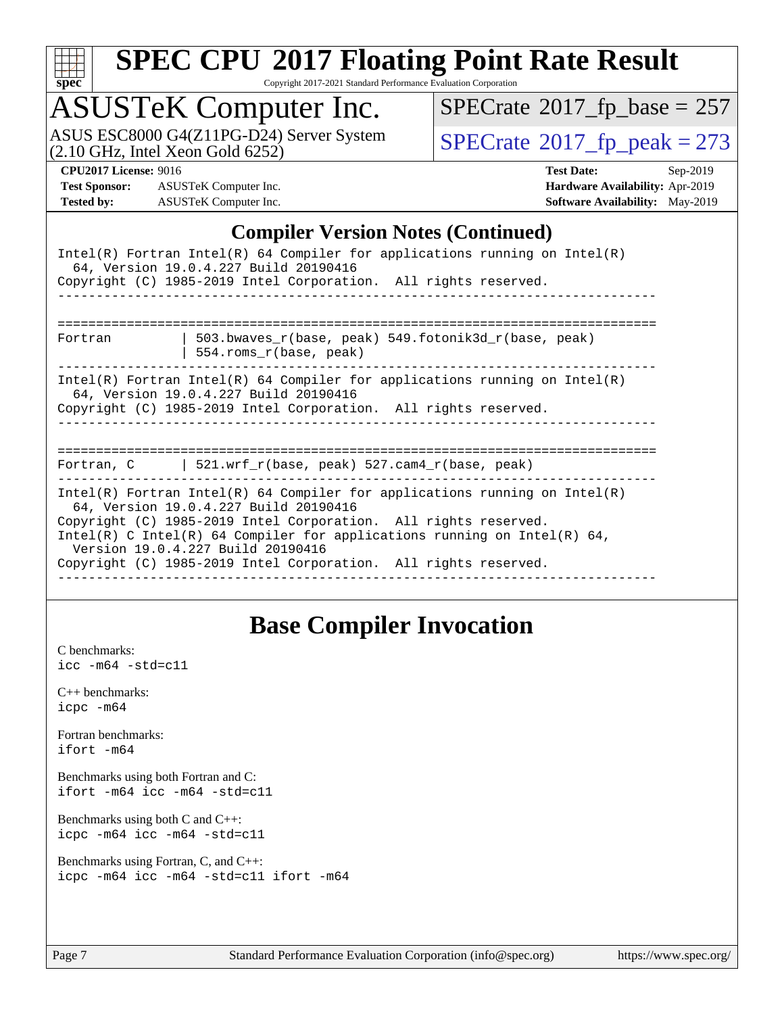

Copyright 2017-2021 Standard Performance Evaluation Corporation

# ASUSTeK Computer Inc.<br>ASUS ESC8000 G4(Z11PG-D24) Server System

 $(2.10 \text{ GHz}, \text{Intel Xeon}$  Gold  $6252)$ 

 $SPECrate$ <sup>®</sup>[2017\\_fp\\_base =](http://www.spec.org/auto/cpu2017/Docs/result-fields.html#SPECrate2017fpbase) 257

 $SPECTate@2017_fp\_peak = 273$ 

**[Test Sponsor:](http://www.spec.org/auto/cpu2017/Docs/result-fields.html#TestSponsor)** ASUSTeK Computer Inc. **[Hardware Availability:](http://www.spec.org/auto/cpu2017/Docs/result-fields.html#HardwareAvailability)** Apr-2019 **[Tested by:](http://www.spec.org/auto/cpu2017/Docs/result-fields.html#Testedby)** ASUSTeK Computer Inc. **[Software Availability:](http://www.spec.org/auto/cpu2017/Docs/result-fields.html#SoftwareAvailability)** May-2019

**[CPU2017 License:](http://www.spec.org/auto/cpu2017/Docs/result-fields.html#CPU2017License)** 9016 **[Test Date:](http://www.spec.org/auto/cpu2017/Docs/result-fields.html#TestDate)** Sep-2019

#### **[Compiler Version Notes \(Continued\)](http://www.spec.org/auto/cpu2017/Docs/result-fields.html#CompilerVersionNotes)**

|                                                                                                                                                                                                                                                                                                                                                                            | $Intel(R)$ Fortran Intel(R) 64 Compiler for applications running on Intel(R)<br>64, Version 19.0.4.227 Build 20190416<br>Copyright (C) 1985-2019 Intel Corporation. All rights reserved. |  |  |  |  |  |
|----------------------------------------------------------------------------------------------------------------------------------------------------------------------------------------------------------------------------------------------------------------------------------------------------------------------------------------------------------------------------|------------------------------------------------------------------------------------------------------------------------------------------------------------------------------------------|--|--|--|--|--|
|                                                                                                                                                                                                                                                                                                                                                                            |                                                                                                                                                                                          |  |  |  |  |  |
| Fortran                                                                                                                                                                                                                                                                                                                                                                    | 503.bwaves $r(base, peak)$ 549.fotonik3d $r(base, peak)$<br>554.roms r(base, peak)                                                                                                       |  |  |  |  |  |
| Intel(R) Fortran Intel(R) 64 Compiler for applications running on Intel(R)<br>64, Version 19.0.4.227 Build 20190416<br>Copyright (C) 1985-2019 Intel Corporation. All rights reserved.                                                                                                                                                                                     |                                                                                                                                                                                          |  |  |  |  |  |
| Fortran, C $\vert$ 521.wrf r(base, peak) 527.cam4 r(base, peak)                                                                                                                                                                                                                                                                                                            |                                                                                                                                                                                          |  |  |  |  |  |
|                                                                                                                                                                                                                                                                                                                                                                            |                                                                                                                                                                                          |  |  |  |  |  |
| Intel(R) Fortran Intel(R) 64 Compiler for applications running on Intel(R)<br>64, Version 19.0.4.227 Build 20190416<br>Copyright (C) 1985-2019 Intel Corporation. All rights reserved.<br>Intel(R) C Intel(R) 64 Compiler for applications running on Intel(R) 64,<br>Version 19.0.4.227 Build 20190416<br>Copyright (C) 1985-2019 Intel Corporation. All rights reserved. |                                                                                                                                                                                          |  |  |  |  |  |

## **[Base Compiler Invocation](http://www.spec.org/auto/cpu2017/Docs/result-fields.html#BaseCompilerInvocation)**

[C benchmarks](http://www.spec.org/auto/cpu2017/Docs/result-fields.html#Cbenchmarks): [icc -m64 -std=c11](http://www.spec.org/cpu2017/results/res2019q4/cpu2017-20190916-18247.flags.html#user_CCbase_intel_icc_64bit_c11_33ee0cdaae7deeeab2a9725423ba97205ce30f63b9926c2519791662299b76a0318f32ddfffdc46587804de3178b4f9328c46fa7c2b0cd779d7a61945c91cd35)

[C++ benchmarks:](http://www.spec.org/auto/cpu2017/Docs/result-fields.html#CXXbenchmarks) [icpc -m64](http://www.spec.org/cpu2017/results/res2019q4/cpu2017-20190916-18247.flags.html#user_CXXbase_intel_icpc_64bit_4ecb2543ae3f1412ef961e0650ca070fec7b7afdcd6ed48761b84423119d1bf6bdf5cad15b44d48e7256388bc77273b966e5eb805aefd121eb22e9299b2ec9d9)

[Fortran benchmarks](http://www.spec.org/auto/cpu2017/Docs/result-fields.html#Fortranbenchmarks): [ifort -m64](http://www.spec.org/cpu2017/results/res2019q4/cpu2017-20190916-18247.flags.html#user_FCbase_intel_ifort_64bit_24f2bb282fbaeffd6157abe4f878425411749daecae9a33200eee2bee2fe76f3b89351d69a8130dd5949958ce389cf37ff59a95e7a40d588e8d3a57e0c3fd751)

[Benchmarks using both Fortran and C](http://www.spec.org/auto/cpu2017/Docs/result-fields.html#BenchmarksusingbothFortranandC): [ifort -m64](http://www.spec.org/cpu2017/results/res2019q4/cpu2017-20190916-18247.flags.html#user_CC_FCbase_intel_ifort_64bit_24f2bb282fbaeffd6157abe4f878425411749daecae9a33200eee2bee2fe76f3b89351d69a8130dd5949958ce389cf37ff59a95e7a40d588e8d3a57e0c3fd751) [icc -m64 -std=c11](http://www.spec.org/cpu2017/results/res2019q4/cpu2017-20190916-18247.flags.html#user_CC_FCbase_intel_icc_64bit_c11_33ee0cdaae7deeeab2a9725423ba97205ce30f63b9926c2519791662299b76a0318f32ddfffdc46587804de3178b4f9328c46fa7c2b0cd779d7a61945c91cd35)

[Benchmarks using both C and C++](http://www.spec.org/auto/cpu2017/Docs/result-fields.html#BenchmarksusingbothCandCXX): [icpc -m64](http://www.spec.org/cpu2017/results/res2019q4/cpu2017-20190916-18247.flags.html#user_CC_CXXbase_intel_icpc_64bit_4ecb2543ae3f1412ef961e0650ca070fec7b7afdcd6ed48761b84423119d1bf6bdf5cad15b44d48e7256388bc77273b966e5eb805aefd121eb22e9299b2ec9d9) [icc -m64 -std=c11](http://www.spec.org/cpu2017/results/res2019q4/cpu2017-20190916-18247.flags.html#user_CC_CXXbase_intel_icc_64bit_c11_33ee0cdaae7deeeab2a9725423ba97205ce30f63b9926c2519791662299b76a0318f32ddfffdc46587804de3178b4f9328c46fa7c2b0cd779d7a61945c91cd35)

[Benchmarks using Fortran, C, and C++:](http://www.spec.org/auto/cpu2017/Docs/result-fields.html#BenchmarksusingFortranCandCXX) [icpc -m64](http://www.spec.org/cpu2017/results/res2019q4/cpu2017-20190916-18247.flags.html#user_CC_CXX_FCbase_intel_icpc_64bit_4ecb2543ae3f1412ef961e0650ca070fec7b7afdcd6ed48761b84423119d1bf6bdf5cad15b44d48e7256388bc77273b966e5eb805aefd121eb22e9299b2ec9d9) [icc -m64 -std=c11](http://www.spec.org/cpu2017/results/res2019q4/cpu2017-20190916-18247.flags.html#user_CC_CXX_FCbase_intel_icc_64bit_c11_33ee0cdaae7deeeab2a9725423ba97205ce30f63b9926c2519791662299b76a0318f32ddfffdc46587804de3178b4f9328c46fa7c2b0cd779d7a61945c91cd35) [ifort -m64](http://www.spec.org/cpu2017/results/res2019q4/cpu2017-20190916-18247.flags.html#user_CC_CXX_FCbase_intel_ifort_64bit_24f2bb282fbaeffd6157abe4f878425411749daecae9a33200eee2bee2fe76f3b89351d69a8130dd5949958ce389cf37ff59a95e7a40d588e8d3a57e0c3fd751)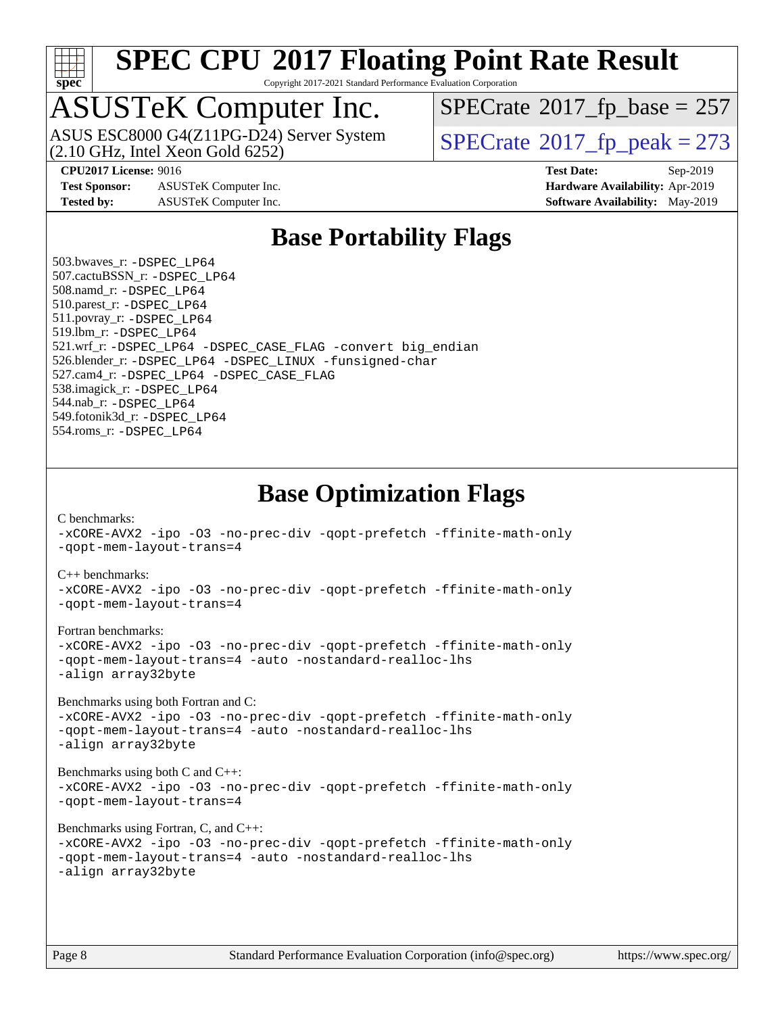

Copyright 2017-2021 Standard Performance Evaluation Corporation

## ASUSTeK Computer Inc.

(2.10 GHz, Intel Xeon Gold 6252) ASUS ESC8000 G4(Z11PG-D24) Server System  $SPECrate@2017_fp\_peak = 273$  $SPECrate@2017_fp\_peak = 273$ 

 $SPECTate$ <sup>®</sup>[2017\\_fp\\_base =](http://www.spec.org/auto/cpu2017/Docs/result-fields.html#SPECrate2017fpbase) 257

**[Test Sponsor:](http://www.spec.org/auto/cpu2017/Docs/result-fields.html#TestSponsor)** ASUSTeK Computer Inc. **[Hardware Availability:](http://www.spec.org/auto/cpu2017/Docs/result-fields.html#HardwareAvailability)** Apr-2019

**[CPU2017 License:](http://www.spec.org/auto/cpu2017/Docs/result-fields.html#CPU2017License)** 9016 **[Test Date:](http://www.spec.org/auto/cpu2017/Docs/result-fields.html#TestDate)** Sep-2019 **[Tested by:](http://www.spec.org/auto/cpu2017/Docs/result-fields.html#Testedby)** ASUSTeK Computer Inc. **[Software Availability:](http://www.spec.org/auto/cpu2017/Docs/result-fields.html#SoftwareAvailability)** May-2019

## **[Base Portability Flags](http://www.spec.org/auto/cpu2017/Docs/result-fields.html#BasePortabilityFlags)**

 503.bwaves\_r: [-DSPEC\\_LP64](http://www.spec.org/cpu2017/results/res2019q4/cpu2017-20190916-18247.flags.html#suite_basePORTABILITY503_bwaves_r_DSPEC_LP64) 507.cactuBSSN\_r: [-DSPEC\\_LP64](http://www.spec.org/cpu2017/results/res2019q4/cpu2017-20190916-18247.flags.html#suite_basePORTABILITY507_cactuBSSN_r_DSPEC_LP64) 508.namd\_r: [-DSPEC\\_LP64](http://www.spec.org/cpu2017/results/res2019q4/cpu2017-20190916-18247.flags.html#suite_basePORTABILITY508_namd_r_DSPEC_LP64) 510.parest\_r: [-DSPEC\\_LP64](http://www.spec.org/cpu2017/results/res2019q4/cpu2017-20190916-18247.flags.html#suite_basePORTABILITY510_parest_r_DSPEC_LP64) 511.povray\_r: [-DSPEC\\_LP64](http://www.spec.org/cpu2017/results/res2019q4/cpu2017-20190916-18247.flags.html#suite_basePORTABILITY511_povray_r_DSPEC_LP64) 519.lbm\_r: [-DSPEC\\_LP64](http://www.spec.org/cpu2017/results/res2019q4/cpu2017-20190916-18247.flags.html#suite_basePORTABILITY519_lbm_r_DSPEC_LP64) 521.wrf\_r: [-DSPEC\\_LP64](http://www.spec.org/cpu2017/results/res2019q4/cpu2017-20190916-18247.flags.html#suite_basePORTABILITY521_wrf_r_DSPEC_LP64) [-DSPEC\\_CASE\\_FLAG](http://www.spec.org/cpu2017/results/res2019q4/cpu2017-20190916-18247.flags.html#b521.wrf_r_baseCPORTABILITY_DSPEC_CASE_FLAG) [-convert big\\_endian](http://www.spec.org/cpu2017/results/res2019q4/cpu2017-20190916-18247.flags.html#user_baseFPORTABILITY521_wrf_r_convert_big_endian_c3194028bc08c63ac5d04de18c48ce6d347e4e562e8892b8bdbdc0214820426deb8554edfa529a3fb25a586e65a3d812c835984020483e7e73212c4d31a38223) 526.blender\_r: [-DSPEC\\_LP64](http://www.spec.org/cpu2017/results/res2019q4/cpu2017-20190916-18247.flags.html#suite_basePORTABILITY526_blender_r_DSPEC_LP64) [-DSPEC\\_LINUX](http://www.spec.org/cpu2017/results/res2019q4/cpu2017-20190916-18247.flags.html#b526.blender_r_baseCPORTABILITY_DSPEC_LINUX) [-funsigned-char](http://www.spec.org/cpu2017/results/res2019q4/cpu2017-20190916-18247.flags.html#user_baseCPORTABILITY526_blender_r_force_uchar_40c60f00ab013830e2dd6774aeded3ff59883ba5a1fc5fc14077f794d777847726e2a5858cbc7672e36e1b067e7e5c1d9a74f7176df07886a243d7cc18edfe67) 527.cam4\_r: [-DSPEC\\_LP64](http://www.spec.org/cpu2017/results/res2019q4/cpu2017-20190916-18247.flags.html#suite_basePORTABILITY527_cam4_r_DSPEC_LP64) [-DSPEC\\_CASE\\_FLAG](http://www.spec.org/cpu2017/results/res2019q4/cpu2017-20190916-18247.flags.html#b527.cam4_r_baseCPORTABILITY_DSPEC_CASE_FLAG) 538.imagick\_r: [-DSPEC\\_LP64](http://www.spec.org/cpu2017/results/res2019q4/cpu2017-20190916-18247.flags.html#suite_basePORTABILITY538_imagick_r_DSPEC_LP64) 544.nab\_r: [-DSPEC\\_LP64](http://www.spec.org/cpu2017/results/res2019q4/cpu2017-20190916-18247.flags.html#suite_basePORTABILITY544_nab_r_DSPEC_LP64) 549.fotonik3d\_r: [-DSPEC\\_LP64](http://www.spec.org/cpu2017/results/res2019q4/cpu2017-20190916-18247.flags.html#suite_basePORTABILITY549_fotonik3d_r_DSPEC_LP64) 554.roms\_r: [-DSPEC\\_LP64](http://www.spec.org/cpu2017/results/res2019q4/cpu2017-20190916-18247.flags.html#suite_basePORTABILITY554_roms_r_DSPEC_LP64)

**[Base Optimization Flags](http://www.spec.org/auto/cpu2017/Docs/result-fields.html#BaseOptimizationFlags)**

[C benchmarks](http://www.spec.org/auto/cpu2017/Docs/result-fields.html#Cbenchmarks):

[-xCORE-AVX2](http://www.spec.org/cpu2017/results/res2019q4/cpu2017-20190916-18247.flags.html#user_CCbase_f-xCORE-AVX2) [-ipo](http://www.spec.org/cpu2017/results/res2019q4/cpu2017-20190916-18247.flags.html#user_CCbase_f-ipo) [-O3](http://www.spec.org/cpu2017/results/res2019q4/cpu2017-20190916-18247.flags.html#user_CCbase_f-O3) [-no-prec-div](http://www.spec.org/cpu2017/results/res2019q4/cpu2017-20190916-18247.flags.html#user_CCbase_f-no-prec-div) [-qopt-prefetch](http://www.spec.org/cpu2017/results/res2019q4/cpu2017-20190916-18247.flags.html#user_CCbase_f-qopt-prefetch) [-ffinite-math-only](http://www.spec.org/cpu2017/results/res2019q4/cpu2017-20190916-18247.flags.html#user_CCbase_f_finite_math_only_cb91587bd2077682c4b38af759c288ed7c732db004271a9512da14a4f8007909a5f1427ecbf1a0fb78ff2a814402c6114ac565ca162485bbcae155b5e4258871) [-qopt-mem-layout-trans=4](http://www.spec.org/cpu2017/results/res2019q4/cpu2017-20190916-18247.flags.html#user_CCbase_f-qopt-mem-layout-trans_fa39e755916c150a61361b7846f310bcdf6f04e385ef281cadf3647acec3f0ae266d1a1d22d972a7087a248fd4e6ca390a3634700869573d231a252c784941a8) [C++ benchmarks:](http://www.spec.org/auto/cpu2017/Docs/result-fields.html#CXXbenchmarks) [-xCORE-AVX2](http://www.spec.org/cpu2017/results/res2019q4/cpu2017-20190916-18247.flags.html#user_CXXbase_f-xCORE-AVX2) [-ipo](http://www.spec.org/cpu2017/results/res2019q4/cpu2017-20190916-18247.flags.html#user_CXXbase_f-ipo) [-O3](http://www.spec.org/cpu2017/results/res2019q4/cpu2017-20190916-18247.flags.html#user_CXXbase_f-O3) [-no-prec-div](http://www.spec.org/cpu2017/results/res2019q4/cpu2017-20190916-18247.flags.html#user_CXXbase_f-no-prec-div) [-qopt-prefetch](http://www.spec.org/cpu2017/results/res2019q4/cpu2017-20190916-18247.flags.html#user_CXXbase_f-qopt-prefetch) [-ffinite-math-only](http://www.spec.org/cpu2017/results/res2019q4/cpu2017-20190916-18247.flags.html#user_CXXbase_f_finite_math_only_cb91587bd2077682c4b38af759c288ed7c732db004271a9512da14a4f8007909a5f1427ecbf1a0fb78ff2a814402c6114ac565ca162485bbcae155b5e4258871) [-qopt-mem-layout-trans=4](http://www.spec.org/cpu2017/results/res2019q4/cpu2017-20190916-18247.flags.html#user_CXXbase_f-qopt-mem-layout-trans_fa39e755916c150a61361b7846f310bcdf6f04e385ef281cadf3647acec3f0ae266d1a1d22d972a7087a248fd4e6ca390a3634700869573d231a252c784941a8) [Fortran benchmarks](http://www.spec.org/auto/cpu2017/Docs/result-fields.html#Fortranbenchmarks): [-xCORE-AVX2](http://www.spec.org/cpu2017/results/res2019q4/cpu2017-20190916-18247.flags.html#user_FCbase_f-xCORE-AVX2) [-ipo](http://www.spec.org/cpu2017/results/res2019q4/cpu2017-20190916-18247.flags.html#user_FCbase_f-ipo) [-O3](http://www.spec.org/cpu2017/results/res2019q4/cpu2017-20190916-18247.flags.html#user_FCbase_f-O3) [-no-prec-div](http://www.spec.org/cpu2017/results/res2019q4/cpu2017-20190916-18247.flags.html#user_FCbase_f-no-prec-div) [-qopt-prefetch](http://www.spec.org/cpu2017/results/res2019q4/cpu2017-20190916-18247.flags.html#user_FCbase_f-qopt-prefetch) [-ffinite-math-only](http://www.spec.org/cpu2017/results/res2019q4/cpu2017-20190916-18247.flags.html#user_FCbase_f_finite_math_only_cb91587bd2077682c4b38af759c288ed7c732db004271a9512da14a4f8007909a5f1427ecbf1a0fb78ff2a814402c6114ac565ca162485bbcae155b5e4258871) [-qopt-mem-layout-trans=4](http://www.spec.org/cpu2017/results/res2019q4/cpu2017-20190916-18247.flags.html#user_FCbase_f-qopt-mem-layout-trans_fa39e755916c150a61361b7846f310bcdf6f04e385ef281cadf3647acec3f0ae266d1a1d22d972a7087a248fd4e6ca390a3634700869573d231a252c784941a8) [-auto](http://www.spec.org/cpu2017/results/res2019q4/cpu2017-20190916-18247.flags.html#user_FCbase_f-auto) [-nostandard-realloc-lhs](http://www.spec.org/cpu2017/results/res2019q4/cpu2017-20190916-18247.flags.html#user_FCbase_f_2003_std_realloc_82b4557e90729c0f113870c07e44d33d6f5a304b4f63d4c15d2d0f1fab99f5daaed73bdb9275d9ae411527f28b936061aa8b9c8f2d63842963b95c9dd6426b8a) [-align array32byte](http://www.spec.org/cpu2017/results/res2019q4/cpu2017-20190916-18247.flags.html#user_FCbase_align_array32byte_b982fe038af199962ba9a80c053b8342c548c85b40b8e86eb3cc33dee0d7986a4af373ac2d51c3f7cf710a18d62fdce2948f201cd044323541f22fc0fffc51b6) [Benchmarks using both Fortran and C](http://www.spec.org/auto/cpu2017/Docs/result-fields.html#BenchmarksusingbothFortranandC): [-xCORE-AVX2](http://www.spec.org/cpu2017/results/res2019q4/cpu2017-20190916-18247.flags.html#user_CC_FCbase_f-xCORE-AVX2) [-ipo](http://www.spec.org/cpu2017/results/res2019q4/cpu2017-20190916-18247.flags.html#user_CC_FCbase_f-ipo) [-O3](http://www.spec.org/cpu2017/results/res2019q4/cpu2017-20190916-18247.flags.html#user_CC_FCbase_f-O3) [-no-prec-div](http://www.spec.org/cpu2017/results/res2019q4/cpu2017-20190916-18247.flags.html#user_CC_FCbase_f-no-prec-div) [-qopt-prefetch](http://www.spec.org/cpu2017/results/res2019q4/cpu2017-20190916-18247.flags.html#user_CC_FCbase_f-qopt-prefetch) [-ffinite-math-only](http://www.spec.org/cpu2017/results/res2019q4/cpu2017-20190916-18247.flags.html#user_CC_FCbase_f_finite_math_only_cb91587bd2077682c4b38af759c288ed7c732db004271a9512da14a4f8007909a5f1427ecbf1a0fb78ff2a814402c6114ac565ca162485bbcae155b5e4258871) [-qopt-mem-layout-trans=4](http://www.spec.org/cpu2017/results/res2019q4/cpu2017-20190916-18247.flags.html#user_CC_FCbase_f-qopt-mem-layout-trans_fa39e755916c150a61361b7846f310bcdf6f04e385ef281cadf3647acec3f0ae266d1a1d22d972a7087a248fd4e6ca390a3634700869573d231a252c784941a8) [-auto](http://www.spec.org/cpu2017/results/res2019q4/cpu2017-20190916-18247.flags.html#user_CC_FCbase_f-auto) [-nostandard-realloc-lhs](http://www.spec.org/cpu2017/results/res2019q4/cpu2017-20190916-18247.flags.html#user_CC_FCbase_f_2003_std_realloc_82b4557e90729c0f113870c07e44d33d6f5a304b4f63d4c15d2d0f1fab99f5daaed73bdb9275d9ae411527f28b936061aa8b9c8f2d63842963b95c9dd6426b8a) [-align array32byte](http://www.spec.org/cpu2017/results/res2019q4/cpu2017-20190916-18247.flags.html#user_CC_FCbase_align_array32byte_b982fe038af199962ba9a80c053b8342c548c85b40b8e86eb3cc33dee0d7986a4af373ac2d51c3f7cf710a18d62fdce2948f201cd044323541f22fc0fffc51b6) [Benchmarks using both C and C++](http://www.spec.org/auto/cpu2017/Docs/result-fields.html#BenchmarksusingbothCandCXX): [-xCORE-AVX2](http://www.spec.org/cpu2017/results/res2019q4/cpu2017-20190916-18247.flags.html#user_CC_CXXbase_f-xCORE-AVX2) [-ipo](http://www.spec.org/cpu2017/results/res2019q4/cpu2017-20190916-18247.flags.html#user_CC_CXXbase_f-ipo) [-O3](http://www.spec.org/cpu2017/results/res2019q4/cpu2017-20190916-18247.flags.html#user_CC_CXXbase_f-O3) [-no-prec-div](http://www.spec.org/cpu2017/results/res2019q4/cpu2017-20190916-18247.flags.html#user_CC_CXXbase_f-no-prec-div) [-qopt-prefetch](http://www.spec.org/cpu2017/results/res2019q4/cpu2017-20190916-18247.flags.html#user_CC_CXXbase_f-qopt-prefetch) [-ffinite-math-only](http://www.spec.org/cpu2017/results/res2019q4/cpu2017-20190916-18247.flags.html#user_CC_CXXbase_f_finite_math_only_cb91587bd2077682c4b38af759c288ed7c732db004271a9512da14a4f8007909a5f1427ecbf1a0fb78ff2a814402c6114ac565ca162485bbcae155b5e4258871) [-qopt-mem-layout-trans=4](http://www.spec.org/cpu2017/results/res2019q4/cpu2017-20190916-18247.flags.html#user_CC_CXXbase_f-qopt-mem-layout-trans_fa39e755916c150a61361b7846f310bcdf6f04e385ef281cadf3647acec3f0ae266d1a1d22d972a7087a248fd4e6ca390a3634700869573d231a252c784941a8) [Benchmarks using Fortran, C, and C++:](http://www.spec.org/auto/cpu2017/Docs/result-fields.html#BenchmarksusingFortranCandCXX) [-xCORE-AVX2](http://www.spec.org/cpu2017/results/res2019q4/cpu2017-20190916-18247.flags.html#user_CC_CXX_FCbase_f-xCORE-AVX2) [-ipo](http://www.spec.org/cpu2017/results/res2019q4/cpu2017-20190916-18247.flags.html#user_CC_CXX_FCbase_f-ipo) [-O3](http://www.spec.org/cpu2017/results/res2019q4/cpu2017-20190916-18247.flags.html#user_CC_CXX_FCbase_f-O3) [-no-prec-div](http://www.spec.org/cpu2017/results/res2019q4/cpu2017-20190916-18247.flags.html#user_CC_CXX_FCbase_f-no-prec-div) [-qopt-prefetch](http://www.spec.org/cpu2017/results/res2019q4/cpu2017-20190916-18247.flags.html#user_CC_CXX_FCbase_f-qopt-prefetch) [-ffinite-math-only](http://www.spec.org/cpu2017/results/res2019q4/cpu2017-20190916-18247.flags.html#user_CC_CXX_FCbase_f_finite_math_only_cb91587bd2077682c4b38af759c288ed7c732db004271a9512da14a4f8007909a5f1427ecbf1a0fb78ff2a814402c6114ac565ca162485bbcae155b5e4258871) [-qopt-mem-layout-trans=4](http://www.spec.org/cpu2017/results/res2019q4/cpu2017-20190916-18247.flags.html#user_CC_CXX_FCbase_f-qopt-mem-layout-trans_fa39e755916c150a61361b7846f310bcdf6f04e385ef281cadf3647acec3f0ae266d1a1d22d972a7087a248fd4e6ca390a3634700869573d231a252c784941a8) [-auto](http://www.spec.org/cpu2017/results/res2019q4/cpu2017-20190916-18247.flags.html#user_CC_CXX_FCbase_f-auto) [-nostandard-realloc-lhs](http://www.spec.org/cpu2017/results/res2019q4/cpu2017-20190916-18247.flags.html#user_CC_CXX_FCbase_f_2003_std_realloc_82b4557e90729c0f113870c07e44d33d6f5a304b4f63d4c15d2d0f1fab99f5daaed73bdb9275d9ae411527f28b936061aa8b9c8f2d63842963b95c9dd6426b8a) [-align array32byte](http://www.spec.org/cpu2017/results/res2019q4/cpu2017-20190916-18247.flags.html#user_CC_CXX_FCbase_align_array32byte_b982fe038af199962ba9a80c053b8342c548c85b40b8e86eb3cc33dee0d7986a4af373ac2d51c3f7cf710a18d62fdce2948f201cd044323541f22fc0fffc51b6)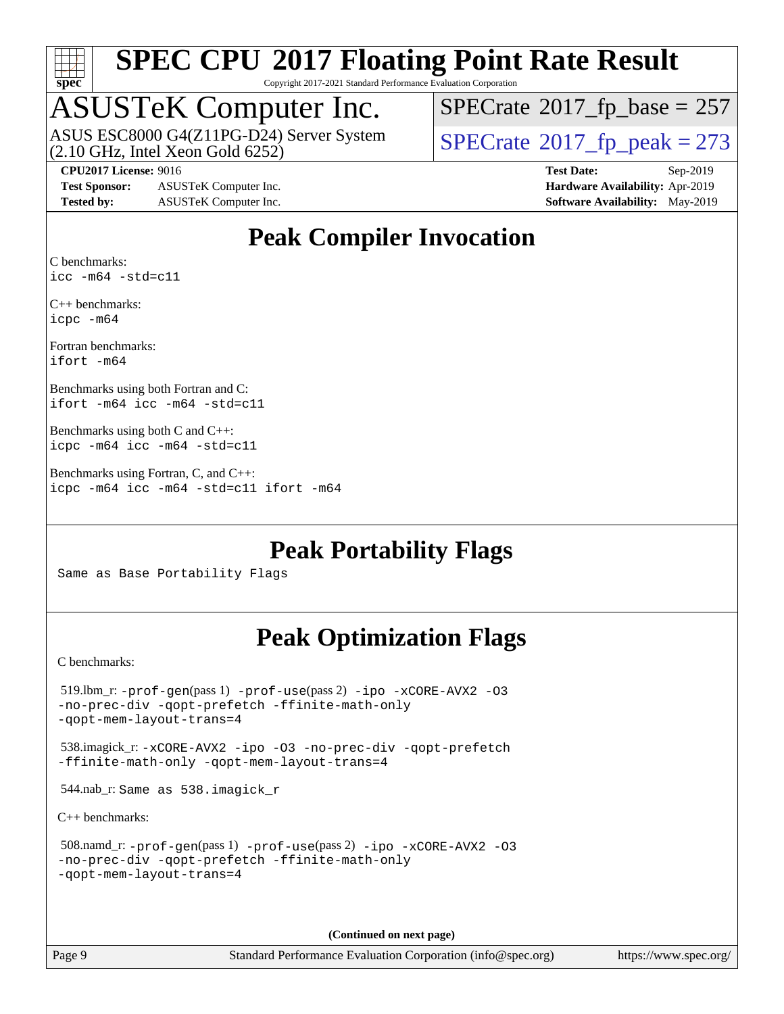

Copyright 2017-2021 Standard Performance Evaluation Corporation

# ASUSTeK Computer Inc.<br>ASUS ESC8000 G4(Z11PG-D24) Server System

(2.10 GHz, Intel Xeon Gold 6252)

 $SPECTate$ <sup>®</sup>[2017\\_fp\\_base =](http://www.spec.org/auto/cpu2017/Docs/result-fields.html#SPECrate2017fpbase) 257

 $SPECTate<sup>®</sup>2017_fp_peak = 273$  $SPECTate<sup>®</sup>2017_fp_peak = 273$  $SPECTate<sup>®</sup>2017_fp_peak = 273$ 

**[Test Sponsor:](http://www.spec.org/auto/cpu2017/Docs/result-fields.html#TestSponsor)** ASUSTeK Computer Inc. **[Hardware Availability:](http://www.spec.org/auto/cpu2017/Docs/result-fields.html#HardwareAvailability)** Apr-2019 **[Tested by:](http://www.spec.org/auto/cpu2017/Docs/result-fields.html#Testedby)** ASUSTeK Computer Inc. **[Software Availability:](http://www.spec.org/auto/cpu2017/Docs/result-fields.html#SoftwareAvailability)** May-2019

**[CPU2017 License:](http://www.spec.org/auto/cpu2017/Docs/result-fields.html#CPU2017License)** 9016 **[Test Date:](http://www.spec.org/auto/cpu2017/Docs/result-fields.html#TestDate)** Sep-2019

## **[Peak Compiler Invocation](http://www.spec.org/auto/cpu2017/Docs/result-fields.html#PeakCompilerInvocation)**

[C benchmarks](http://www.spec.org/auto/cpu2017/Docs/result-fields.html#Cbenchmarks): [icc -m64 -std=c11](http://www.spec.org/cpu2017/results/res2019q4/cpu2017-20190916-18247.flags.html#user_CCpeak_intel_icc_64bit_c11_33ee0cdaae7deeeab2a9725423ba97205ce30f63b9926c2519791662299b76a0318f32ddfffdc46587804de3178b4f9328c46fa7c2b0cd779d7a61945c91cd35)

[C++ benchmarks:](http://www.spec.org/auto/cpu2017/Docs/result-fields.html#CXXbenchmarks) [icpc -m64](http://www.spec.org/cpu2017/results/res2019q4/cpu2017-20190916-18247.flags.html#user_CXXpeak_intel_icpc_64bit_4ecb2543ae3f1412ef961e0650ca070fec7b7afdcd6ed48761b84423119d1bf6bdf5cad15b44d48e7256388bc77273b966e5eb805aefd121eb22e9299b2ec9d9)

[Fortran benchmarks](http://www.spec.org/auto/cpu2017/Docs/result-fields.html#Fortranbenchmarks): [ifort -m64](http://www.spec.org/cpu2017/results/res2019q4/cpu2017-20190916-18247.flags.html#user_FCpeak_intel_ifort_64bit_24f2bb282fbaeffd6157abe4f878425411749daecae9a33200eee2bee2fe76f3b89351d69a8130dd5949958ce389cf37ff59a95e7a40d588e8d3a57e0c3fd751)

[Benchmarks using both Fortran and C](http://www.spec.org/auto/cpu2017/Docs/result-fields.html#BenchmarksusingbothFortranandC): [ifort -m64](http://www.spec.org/cpu2017/results/res2019q4/cpu2017-20190916-18247.flags.html#user_CC_FCpeak_intel_ifort_64bit_24f2bb282fbaeffd6157abe4f878425411749daecae9a33200eee2bee2fe76f3b89351d69a8130dd5949958ce389cf37ff59a95e7a40d588e8d3a57e0c3fd751) [icc -m64 -std=c11](http://www.spec.org/cpu2017/results/res2019q4/cpu2017-20190916-18247.flags.html#user_CC_FCpeak_intel_icc_64bit_c11_33ee0cdaae7deeeab2a9725423ba97205ce30f63b9926c2519791662299b76a0318f32ddfffdc46587804de3178b4f9328c46fa7c2b0cd779d7a61945c91cd35)

```
Benchmarks using both C and C++: 
icpc -m64 icc -m64 -std=c11
```
[Benchmarks using Fortran, C, and C++:](http://www.spec.org/auto/cpu2017/Docs/result-fields.html#BenchmarksusingFortranCandCXX) [icpc -m64](http://www.spec.org/cpu2017/results/res2019q4/cpu2017-20190916-18247.flags.html#user_CC_CXX_FCpeak_intel_icpc_64bit_4ecb2543ae3f1412ef961e0650ca070fec7b7afdcd6ed48761b84423119d1bf6bdf5cad15b44d48e7256388bc77273b966e5eb805aefd121eb22e9299b2ec9d9) [icc -m64 -std=c11](http://www.spec.org/cpu2017/results/res2019q4/cpu2017-20190916-18247.flags.html#user_CC_CXX_FCpeak_intel_icc_64bit_c11_33ee0cdaae7deeeab2a9725423ba97205ce30f63b9926c2519791662299b76a0318f32ddfffdc46587804de3178b4f9328c46fa7c2b0cd779d7a61945c91cd35) [ifort -m64](http://www.spec.org/cpu2017/results/res2019q4/cpu2017-20190916-18247.flags.html#user_CC_CXX_FCpeak_intel_ifort_64bit_24f2bb282fbaeffd6157abe4f878425411749daecae9a33200eee2bee2fe76f3b89351d69a8130dd5949958ce389cf37ff59a95e7a40d588e8d3a57e0c3fd751)

## **[Peak Portability Flags](http://www.spec.org/auto/cpu2017/Docs/result-fields.html#PeakPortabilityFlags)**

Same as Base Portability Flags

## **[Peak Optimization Flags](http://www.spec.org/auto/cpu2017/Docs/result-fields.html#PeakOptimizationFlags)**

[C benchmarks](http://www.spec.org/auto/cpu2017/Docs/result-fields.html#Cbenchmarks):

```
 519.lbm_r: -prof-gen(pass 1) -prof-use(pass 2) -ipo -xCORE-AVX2 -O3
-no-prec-div -qopt-prefetch -ffinite-math-only
-qopt-mem-layout-trans=4
 538.imagick_r: -xCORE-AVX2 -ipo -O3 -no-prec-div -qopt-prefetch
-ffinite-math-only -qopt-mem-layout-trans=4
 544.nab_r: Same as 538.imagick_r
C++ benchmarks: 
 508.namd_r: -prof-gen(pass 1) -prof-use(pass 2) -ipo -xCORE-AVX2 -O3
-no-prec-div -qopt-prefetch -ffinite-math-only
-qopt-mem-layout-trans=4
```
**(Continued on next page)**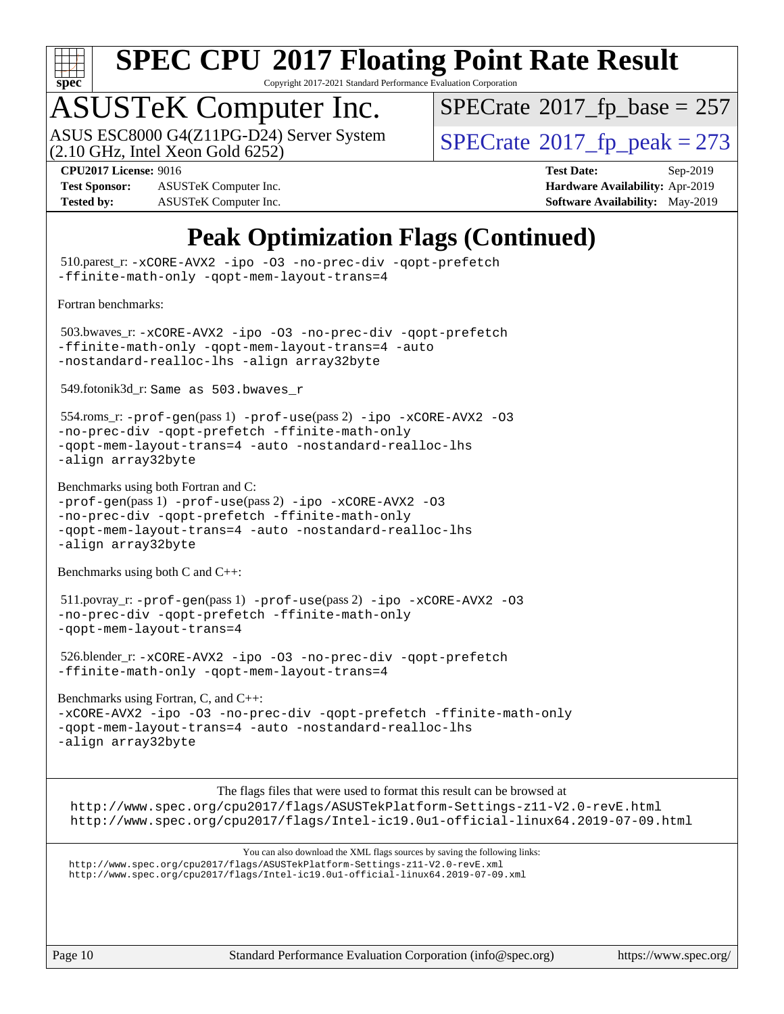

Copyright 2017-2021 Standard Performance Evaluation Corporation

# ASUSTeK Computer Inc.<br>ASUS ESC8000 G4(Z11PG-D24) Server System

 $(2.10 \text{ GHz}, \text{Intel Xeon}$  Gold  $6252)$ 

 $SPECTate$ <sup>®</sup>[2017\\_fp\\_base =](http://www.spec.org/auto/cpu2017/Docs/result-fields.html#SPECrate2017fpbase) 257

**[Test Sponsor:](http://www.spec.org/auto/cpu2017/Docs/result-fields.html#TestSponsor)** ASUSTeK Computer Inc. **[Hardware Availability:](http://www.spec.org/auto/cpu2017/Docs/result-fields.html#HardwareAvailability)** Apr-2019 **[Tested by:](http://www.spec.org/auto/cpu2017/Docs/result-fields.html#Testedby)** ASUSTeK Computer Inc. **[Software Availability:](http://www.spec.org/auto/cpu2017/Docs/result-fields.html#SoftwareAvailability)** May-2019

 $SPECTate<sup>®</sup>2017<sub>fr</sub>peak = 273$ **[CPU2017 License:](http://www.spec.org/auto/cpu2017/Docs/result-fields.html#CPU2017License)** 9016 **[Test Date:](http://www.spec.org/auto/cpu2017/Docs/result-fields.html#TestDate)** Sep-2019

## **[Peak Optimization Flags \(Continued\)](http://www.spec.org/auto/cpu2017/Docs/result-fields.html#PeakOptimizationFlags)**

 510.parest\_r: [-xCORE-AVX2](http://www.spec.org/cpu2017/results/res2019q4/cpu2017-20190916-18247.flags.html#user_peakCXXOPTIMIZE510_parest_r_f-xCORE-AVX2) [-ipo](http://www.spec.org/cpu2017/results/res2019q4/cpu2017-20190916-18247.flags.html#user_peakCXXOPTIMIZE510_parest_r_f-ipo) [-O3](http://www.spec.org/cpu2017/results/res2019q4/cpu2017-20190916-18247.flags.html#user_peakCXXOPTIMIZE510_parest_r_f-O3) [-no-prec-div](http://www.spec.org/cpu2017/results/res2019q4/cpu2017-20190916-18247.flags.html#user_peakCXXOPTIMIZE510_parest_r_f-no-prec-div) [-qopt-prefetch](http://www.spec.org/cpu2017/results/res2019q4/cpu2017-20190916-18247.flags.html#user_peakCXXOPTIMIZE510_parest_r_f-qopt-prefetch) [-ffinite-math-only](http://www.spec.org/cpu2017/results/res2019q4/cpu2017-20190916-18247.flags.html#user_peakCXXOPTIMIZE510_parest_r_f_finite_math_only_cb91587bd2077682c4b38af759c288ed7c732db004271a9512da14a4f8007909a5f1427ecbf1a0fb78ff2a814402c6114ac565ca162485bbcae155b5e4258871) [-qopt-mem-layout-trans=4](http://www.spec.org/cpu2017/results/res2019q4/cpu2017-20190916-18247.flags.html#user_peakCXXOPTIMIZE510_parest_r_f-qopt-mem-layout-trans_fa39e755916c150a61361b7846f310bcdf6f04e385ef281cadf3647acec3f0ae266d1a1d22d972a7087a248fd4e6ca390a3634700869573d231a252c784941a8) [Fortran benchmarks](http://www.spec.org/auto/cpu2017/Docs/result-fields.html#Fortranbenchmarks): 503.bwaves\_r: [-xCORE-AVX2](http://www.spec.org/cpu2017/results/res2019q4/cpu2017-20190916-18247.flags.html#user_peakFOPTIMIZE503_bwaves_r_f-xCORE-AVX2) [-ipo](http://www.spec.org/cpu2017/results/res2019q4/cpu2017-20190916-18247.flags.html#user_peakFOPTIMIZE503_bwaves_r_f-ipo) [-O3](http://www.spec.org/cpu2017/results/res2019q4/cpu2017-20190916-18247.flags.html#user_peakFOPTIMIZE503_bwaves_r_f-O3) [-no-prec-div](http://www.spec.org/cpu2017/results/res2019q4/cpu2017-20190916-18247.flags.html#user_peakFOPTIMIZE503_bwaves_r_f-no-prec-div) [-qopt-prefetch](http://www.spec.org/cpu2017/results/res2019q4/cpu2017-20190916-18247.flags.html#user_peakFOPTIMIZE503_bwaves_r_f-qopt-prefetch) [-ffinite-math-only](http://www.spec.org/cpu2017/results/res2019q4/cpu2017-20190916-18247.flags.html#user_peakFOPTIMIZE503_bwaves_r_f_finite_math_only_cb91587bd2077682c4b38af759c288ed7c732db004271a9512da14a4f8007909a5f1427ecbf1a0fb78ff2a814402c6114ac565ca162485bbcae155b5e4258871) [-qopt-mem-layout-trans=4](http://www.spec.org/cpu2017/results/res2019q4/cpu2017-20190916-18247.flags.html#user_peakFOPTIMIZE503_bwaves_r_f-qopt-mem-layout-trans_fa39e755916c150a61361b7846f310bcdf6f04e385ef281cadf3647acec3f0ae266d1a1d22d972a7087a248fd4e6ca390a3634700869573d231a252c784941a8) [-auto](http://www.spec.org/cpu2017/results/res2019q4/cpu2017-20190916-18247.flags.html#user_peakFOPTIMIZE503_bwaves_r_f-auto) [-nostandard-realloc-lhs](http://www.spec.org/cpu2017/results/res2019q4/cpu2017-20190916-18247.flags.html#user_peakEXTRA_FOPTIMIZE503_bwaves_r_f_2003_std_realloc_82b4557e90729c0f113870c07e44d33d6f5a304b4f63d4c15d2d0f1fab99f5daaed73bdb9275d9ae411527f28b936061aa8b9c8f2d63842963b95c9dd6426b8a) [-align array32byte](http://www.spec.org/cpu2017/results/res2019q4/cpu2017-20190916-18247.flags.html#user_peakEXTRA_FOPTIMIZE503_bwaves_r_align_array32byte_b982fe038af199962ba9a80c053b8342c548c85b40b8e86eb3cc33dee0d7986a4af373ac2d51c3f7cf710a18d62fdce2948f201cd044323541f22fc0fffc51b6) 549.fotonik3d\_r: Same as 503.bwaves\_r 554.roms\_r: [-prof-gen](http://www.spec.org/cpu2017/results/res2019q4/cpu2017-20190916-18247.flags.html#user_peakPASS1_FFLAGSPASS1_LDFLAGS554_roms_r_prof_gen_5aa4926d6013ddb2a31985c654b3eb18169fc0c6952a63635c234f711e6e63dd76e94ad52365559451ec499a2cdb89e4dc58ba4c67ef54ca681ffbe1461d6b36)(pass 1) [-prof-use](http://www.spec.org/cpu2017/results/res2019q4/cpu2017-20190916-18247.flags.html#user_peakPASS2_FFLAGSPASS2_LDFLAGS554_roms_r_prof_use_1a21ceae95f36a2b53c25747139a6c16ca95bd9def2a207b4f0849963b97e94f5260e30a0c64f4bb623698870e679ca08317ef8150905d41bd88c6f78df73f19)(pass 2) [-ipo](http://www.spec.org/cpu2017/results/res2019q4/cpu2017-20190916-18247.flags.html#user_peakPASS1_FOPTIMIZEPASS2_FOPTIMIZE554_roms_r_f-ipo) [-xCORE-AVX2](http://www.spec.org/cpu2017/results/res2019q4/cpu2017-20190916-18247.flags.html#user_peakPASS2_FOPTIMIZE554_roms_r_f-xCORE-AVX2) [-O3](http://www.spec.org/cpu2017/results/res2019q4/cpu2017-20190916-18247.flags.html#user_peakPASS1_FOPTIMIZEPASS2_FOPTIMIZE554_roms_r_f-O3) [-no-prec-div](http://www.spec.org/cpu2017/results/res2019q4/cpu2017-20190916-18247.flags.html#user_peakPASS1_FOPTIMIZEPASS2_FOPTIMIZE554_roms_r_f-no-prec-div) [-qopt-prefetch](http://www.spec.org/cpu2017/results/res2019q4/cpu2017-20190916-18247.flags.html#user_peakPASS1_FOPTIMIZEPASS2_FOPTIMIZE554_roms_r_f-qopt-prefetch) [-ffinite-math-only](http://www.spec.org/cpu2017/results/res2019q4/cpu2017-20190916-18247.flags.html#user_peakPASS1_FOPTIMIZEPASS2_FOPTIMIZE554_roms_r_f_finite_math_only_cb91587bd2077682c4b38af759c288ed7c732db004271a9512da14a4f8007909a5f1427ecbf1a0fb78ff2a814402c6114ac565ca162485bbcae155b5e4258871) [-qopt-mem-layout-trans=4](http://www.spec.org/cpu2017/results/res2019q4/cpu2017-20190916-18247.flags.html#user_peakPASS1_FOPTIMIZEPASS2_FOPTIMIZE554_roms_r_f-qopt-mem-layout-trans_fa39e755916c150a61361b7846f310bcdf6f04e385ef281cadf3647acec3f0ae266d1a1d22d972a7087a248fd4e6ca390a3634700869573d231a252c784941a8) [-auto](http://www.spec.org/cpu2017/results/res2019q4/cpu2017-20190916-18247.flags.html#user_peakPASS2_FOPTIMIZE554_roms_r_f-auto) [-nostandard-realloc-lhs](http://www.spec.org/cpu2017/results/res2019q4/cpu2017-20190916-18247.flags.html#user_peakEXTRA_FOPTIMIZE554_roms_r_f_2003_std_realloc_82b4557e90729c0f113870c07e44d33d6f5a304b4f63d4c15d2d0f1fab99f5daaed73bdb9275d9ae411527f28b936061aa8b9c8f2d63842963b95c9dd6426b8a) [-align array32byte](http://www.spec.org/cpu2017/results/res2019q4/cpu2017-20190916-18247.flags.html#user_peakEXTRA_FOPTIMIZE554_roms_r_align_array32byte_b982fe038af199962ba9a80c053b8342c548c85b40b8e86eb3cc33dee0d7986a4af373ac2d51c3f7cf710a18d62fdce2948f201cd044323541f22fc0fffc51b6) [Benchmarks using both Fortran and C](http://www.spec.org/auto/cpu2017/Docs/result-fields.html#BenchmarksusingbothFortranandC): [-prof-gen](http://www.spec.org/cpu2017/results/res2019q4/cpu2017-20190916-18247.flags.html#user_CC_FCpeak_prof_gen_5aa4926d6013ddb2a31985c654b3eb18169fc0c6952a63635c234f711e6e63dd76e94ad52365559451ec499a2cdb89e4dc58ba4c67ef54ca681ffbe1461d6b36)(pass 1) [-prof-use](http://www.spec.org/cpu2017/results/res2019q4/cpu2017-20190916-18247.flags.html#user_CC_FCpeak_prof_use_1a21ceae95f36a2b53c25747139a6c16ca95bd9def2a207b4f0849963b97e94f5260e30a0c64f4bb623698870e679ca08317ef8150905d41bd88c6f78df73f19)(pass 2) [-ipo](http://www.spec.org/cpu2017/results/res2019q4/cpu2017-20190916-18247.flags.html#user_CC_FCpeak_f-ipo) [-xCORE-AVX2](http://www.spec.org/cpu2017/results/res2019q4/cpu2017-20190916-18247.flags.html#user_CC_FCpeak_f-xCORE-AVX2) [-O3](http://www.spec.org/cpu2017/results/res2019q4/cpu2017-20190916-18247.flags.html#user_CC_FCpeak_f-O3) [-no-prec-div](http://www.spec.org/cpu2017/results/res2019q4/cpu2017-20190916-18247.flags.html#user_CC_FCpeak_f-no-prec-div) [-qopt-prefetch](http://www.spec.org/cpu2017/results/res2019q4/cpu2017-20190916-18247.flags.html#user_CC_FCpeak_f-qopt-prefetch) [-ffinite-math-only](http://www.spec.org/cpu2017/results/res2019q4/cpu2017-20190916-18247.flags.html#user_CC_FCpeak_f_finite_math_only_cb91587bd2077682c4b38af759c288ed7c732db004271a9512da14a4f8007909a5f1427ecbf1a0fb78ff2a814402c6114ac565ca162485bbcae155b5e4258871) [-qopt-mem-layout-trans=4](http://www.spec.org/cpu2017/results/res2019q4/cpu2017-20190916-18247.flags.html#user_CC_FCpeak_f-qopt-mem-layout-trans_fa39e755916c150a61361b7846f310bcdf6f04e385ef281cadf3647acec3f0ae266d1a1d22d972a7087a248fd4e6ca390a3634700869573d231a252c784941a8) [-auto](http://www.spec.org/cpu2017/results/res2019q4/cpu2017-20190916-18247.flags.html#user_CC_FCpeak_f-auto) [-nostandard-realloc-lhs](http://www.spec.org/cpu2017/results/res2019q4/cpu2017-20190916-18247.flags.html#user_CC_FCpeak_f_2003_std_realloc_82b4557e90729c0f113870c07e44d33d6f5a304b4f63d4c15d2d0f1fab99f5daaed73bdb9275d9ae411527f28b936061aa8b9c8f2d63842963b95c9dd6426b8a) [-align array32byte](http://www.spec.org/cpu2017/results/res2019q4/cpu2017-20190916-18247.flags.html#user_CC_FCpeak_align_array32byte_b982fe038af199962ba9a80c053b8342c548c85b40b8e86eb3cc33dee0d7986a4af373ac2d51c3f7cf710a18d62fdce2948f201cd044323541f22fc0fffc51b6) [Benchmarks using both C and C++](http://www.spec.org/auto/cpu2017/Docs/result-fields.html#BenchmarksusingbothCandCXX): 511.povray\_r: [-prof-gen](http://www.spec.org/cpu2017/results/res2019q4/cpu2017-20190916-18247.flags.html#user_peakPASS1_CFLAGSPASS1_CXXFLAGSPASS1_LDFLAGS511_povray_r_prof_gen_5aa4926d6013ddb2a31985c654b3eb18169fc0c6952a63635c234f711e6e63dd76e94ad52365559451ec499a2cdb89e4dc58ba4c67ef54ca681ffbe1461d6b36)(pass 1) [-prof-use](http://www.spec.org/cpu2017/results/res2019q4/cpu2017-20190916-18247.flags.html#user_peakPASS2_CFLAGSPASS2_CXXFLAGSPASS2_LDFLAGS511_povray_r_prof_use_1a21ceae95f36a2b53c25747139a6c16ca95bd9def2a207b4f0849963b97e94f5260e30a0c64f4bb623698870e679ca08317ef8150905d41bd88c6f78df73f19)(pass 2) [-ipo](http://www.spec.org/cpu2017/results/res2019q4/cpu2017-20190916-18247.flags.html#user_peakPASS1_COPTIMIZEPASS1_CXXOPTIMIZEPASS2_COPTIMIZEPASS2_CXXOPTIMIZE511_povray_r_f-ipo) [-xCORE-AVX2](http://www.spec.org/cpu2017/results/res2019q4/cpu2017-20190916-18247.flags.html#user_peakPASS2_COPTIMIZEPASS2_CXXOPTIMIZE511_povray_r_f-xCORE-AVX2) [-O3](http://www.spec.org/cpu2017/results/res2019q4/cpu2017-20190916-18247.flags.html#user_peakPASS1_COPTIMIZEPASS1_CXXOPTIMIZEPASS2_COPTIMIZEPASS2_CXXOPTIMIZE511_povray_r_f-O3) [-no-prec-div](http://www.spec.org/cpu2017/results/res2019q4/cpu2017-20190916-18247.flags.html#user_peakPASS1_COPTIMIZEPASS1_CXXOPTIMIZEPASS2_COPTIMIZEPASS2_CXXOPTIMIZE511_povray_r_f-no-prec-div) [-qopt-prefetch](http://www.spec.org/cpu2017/results/res2019q4/cpu2017-20190916-18247.flags.html#user_peakPASS1_COPTIMIZEPASS1_CXXOPTIMIZEPASS2_COPTIMIZEPASS2_CXXOPTIMIZE511_povray_r_f-qopt-prefetch) [-ffinite-math-only](http://www.spec.org/cpu2017/results/res2019q4/cpu2017-20190916-18247.flags.html#user_peakPASS1_COPTIMIZEPASS1_CXXOPTIMIZEPASS2_COPTIMIZEPASS2_CXXOPTIMIZE511_povray_r_f_finite_math_only_cb91587bd2077682c4b38af759c288ed7c732db004271a9512da14a4f8007909a5f1427ecbf1a0fb78ff2a814402c6114ac565ca162485bbcae155b5e4258871) [-qopt-mem-layout-trans=4](http://www.spec.org/cpu2017/results/res2019q4/cpu2017-20190916-18247.flags.html#user_peakPASS1_COPTIMIZEPASS1_CXXOPTIMIZEPASS2_COPTIMIZEPASS2_CXXOPTIMIZE511_povray_r_f-qopt-mem-layout-trans_fa39e755916c150a61361b7846f310bcdf6f04e385ef281cadf3647acec3f0ae266d1a1d22d972a7087a248fd4e6ca390a3634700869573d231a252c784941a8) 526.blender\_r: [-xCORE-AVX2](http://www.spec.org/cpu2017/results/res2019q4/cpu2017-20190916-18247.flags.html#user_peakCOPTIMIZECXXOPTIMIZE526_blender_r_f-xCORE-AVX2) [-ipo](http://www.spec.org/cpu2017/results/res2019q4/cpu2017-20190916-18247.flags.html#user_peakCOPTIMIZECXXOPTIMIZE526_blender_r_f-ipo) [-O3](http://www.spec.org/cpu2017/results/res2019q4/cpu2017-20190916-18247.flags.html#user_peakCOPTIMIZECXXOPTIMIZE526_blender_r_f-O3) [-no-prec-div](http://www.spec.org/cpu2017/results/res2019q4/cpu2017-20190916-18247.flags.html#user_peakCOPTIMIZECXXOPTIMIZE526_blender_r_f-no-prec-div) [-qopt-prefetch](http://www.spec.org/cpu2017/results/res2019q4/cpu2017-20190916-18247.flags.html#user_peakCOPTIMIZECXXOPTIMIZE526_blender_r_f-qopt-prefetch) [-ffinite-math-only](http://www.spec.org/cpu2017/results/res2019q4/cpu2017-20190916-18247.flags.html#user_peakCOPTIMIZECXXOPTIMIZE526_blender_r_f_finite_math_only_cb91587bd2077682c4b38af759c288ed7c732db004271a9512da14a4f8007909a5f1427ecbf1a0fb78ff2a814402c6114ac565ca162485bbcae155b5e4258871) [-qopt-mem-layout-trans=4](http://www.spec.org/cpu2017/results/res2019q4/cpu2017-20190916-18247.flags.html#user_peakCOPTIMIZECXXOPTIMIZE526_blender_r_f-qopt-mem-layout-trans_fa39e755916c150a61361b7846f310bcdf6f04e385ef281cadf3647acec3f0ae266d1a1d22d972a7087a248fd4e6ca390a3634700869573d231a252c784941a8) [Benchmarks using Fortran, C, and C++:](http://www.spec.org/auto/cpu2017/Docs/result-fields.html#BenchmarksusingFortranCandCXX) [-xCORE-AVX2](http://www.spec.org/cpu2017/results/res2019q4/cpu2017-20190916-18247.flags.html#user_CC_CXX_FCpeak_f-xCORE-AVX2) [-ipo](http://www.spec.org/cpu2017/results/res2019q4/cpu2017-20190916-18247.flags.html#user_CC_CXX_FCpeak_f-ipo) [-O3](http://www.spec.org/cpu2017/results/res2019q4/cpu2017-20190916-18247.flags.html#user_CC_CXX_FCpeak_f-O3) [-no-prec-div](http://www.spec.org/cpu2017/results/res2019q4/cpu2017-20190916-18247.flags.html#user_CC_CXX_FCpeak_f-no-prec-div) [-qopt-prefetch](http://www.spec.org/cpu2017/results/res2019q4/cpu2017-20190916-18247.flags.html#user_CC_CXX_FCpeak_f-qopt-prefetch) [-ffinite-math-only](http://www.spec.org/cpu2017/results/res2019q4/cpu2017-20190916-18247.flags.html#user_CC_CXX_FCpeak_f_finite_math_only_cb91587bd2077682c4b38af759c288ed7c732db004271a9512da14a4f8007909a5f1427ecbf1a0fb78ff2a814402c6114ac565ca162485bbcae155b5e4258871) [-qopt-mem-layout-trans=4](http://www.spec.org/cpu2017/results/res2019q4/cpu2017-20190916-18247.flags.html#user_CC_CXX_FCpeak_f-qopt-mem-layout-trans_fa39e755916c150a61361b7846f310bcdf6f04e385ef281cadf3647acec3f0ae266d1a1d22d972a7087a248fd4e6ca390a3634700869573d231a252c784941a8) [-auto](http://www.spec.org/cpu2017/results/res2019q4/cpu2017-20190916-18247.flags.html#user_CC_CXX_FCpeak_f-auto) [-nostandard-realloc-lhs](http://www.spec.org/cpu2017/results/res2019q4/cpu2017-20190916-18247.flags.html#user_CC_CXX_FCpeak_f_2003_std_realloc_82b4557e90729c0f113870c07e44d33d6f5a304b4f63d4c15d2d0f1fab99f5daaed73bdb9275d9ae411527f28b936061aa8b9c8f2d63842963b95c9dd6426b8a) [-align array32byte](http://www.spec.org/cpu2017/results/res2019q4/cpu2017-20190916-18247.flags.html#user_CC_CXX_FCpeak_align_array32byte_b982fe038af199962ba9a80c053b8342c548c85b40b8e86eb3cc33dee0d7986a4af373ac2d51c3f7cf710a18d62fdce2948f201cd044323541f22fc0fffc51b6) [The flags files that were used to format this result can be browsed at](tmsearch) <http://www.spec.org/cpu2017/flags/ASUSTekPlatform-Settings-z11-V2.0-revE.html> <http://www.spec.org/cpu2017/flags/Intel-ic19.0u1-official-linux64.2019-07-09.html> [You can also download the XML flags sources by saving the following links:](tmsearch) <http://www.spec.org/cpu2017/flags/ASUSTekPlatform-Settings-z11-V2.0-revE.xml> <http://www.spec.org/cpu2017/flags/Intel-ic19.0u1-official-linux64.2019-07-09.xml>